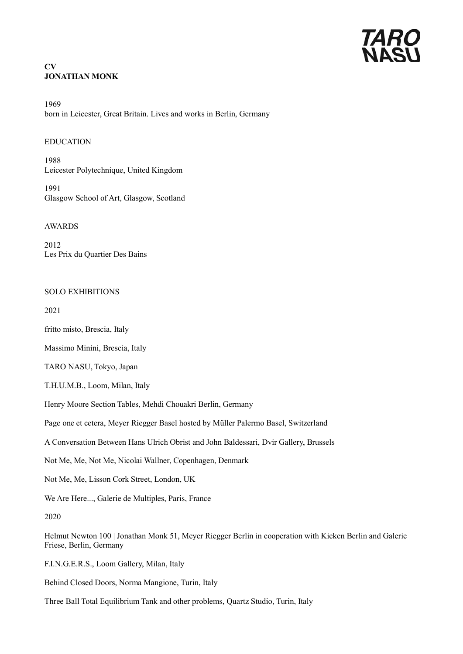## **CV JONATHAN MONK**

1969 born in Leicester, Great Britain. Lives and works in Berlin, Germany

## EDUCATION

1988 Leicester Polytechnique, United Kingdom

1991 Glasgow School of Art, Glasgow, Scotland

AWARDS

2012 Les Prix du Quartier Des Bains

### SOLO EXHIBITIONS

2021

fritto misto, Brescia, Italy

Massimo Minini, Brescia, Italy

TARO NASU, Tokyo, Japan

T.H.U.M.B., Loom, Milan, Italy

Henry Moore Section Tables, Mehdi Chouakri Berlin, Germany

Page one et cetera, Meyer Riegger Basel hosted by Müller Palermo Basel, Switzerland

A Conversation Between Hans Ulrich Obrist and John Baldessari, Dvir Gallery, Brussels

Not Me, Me, Not Me, Nicolai Wallner, Copenhagen, Denmark

Not Me, Me, Lisson Cork Street, London, UK

We Are Here..., Galerie de Multiples, Paris, France

2020

Helmut Newton 100 | Jonathan Monk 51, Meyer Riegger Berlin in cooperation with Kicken Berlin and Galerie Friese, Berlin, Germany

F.I.N.G.E.R.S., Loom Gallery, Milan, Italy

Behind Closed Doors, Norma Mangione, Turin, Italy

Three Ball Total Equilibrium Tank and other problems, Quartz Studio, Turin, Italy

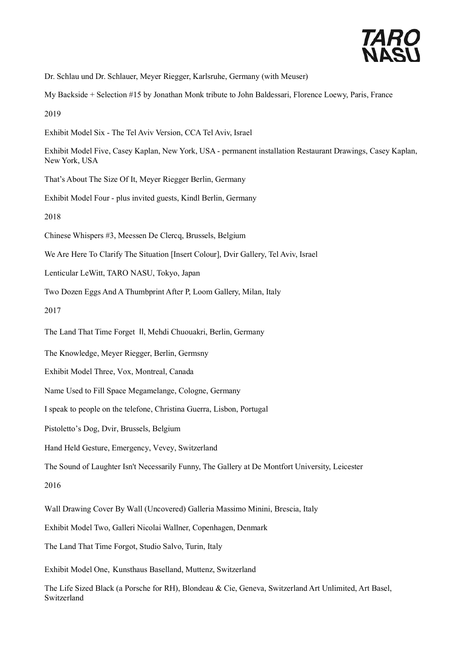

Dr. Schlau und Dr. Schlauer, Meyer Riegger, Karlsruhe, Germany (with Meuser)

My Backside + Selection #15 by Jonathan Monk tribute to John Baldessari, Florence Loewy, Paris, France

2019

- Exhibit Model Six The Tel Aviv Version, CCA Tel Aviv, Israel
- Exhibit Model Five, Casey Kaplan, New York, USA permanent installation Restaurant Drawings, Casey Kaplan, New York, USA
- That's About The Size Of It, Meyer Riegger Berlin, Germany
- Exhibit Model Four plus invited guests, Kindl Berlin, Germany

2018

- Chinese Whispers #3, Meessen De Clercq, Brussels, Belgium
- We Are Here To Clarify The Situation [Insert Colour], Dvir Gallery, Tel Aviv, Israel
- Lenticular LeWitt, TARO NASU, Tokyo, Japan
- Two Dozen Eggs And A Thumbprint After P, Loom Gallery, Milan, Italy

2017

- The Land That Time Forget Ⅱ, Mehdi Chuouakri, Berlin, Germany
- The Knowledge, Meyer Riegger, Berlin, Germsny
- Exhibit Model Three, Vox, Montreal, Canada
- Name Used to Fill Space Megamelange, Cologne, Germany
- I speak to people on the telefone, Christina Guerra, Lisbon, Portugal
- Pistoletto's Dog, Dvir, Brussels, Belgium
- Hand Held Gesture, Emergency, Vevey, Switzerland
- The Sound of Laughter Isn't Necessarily Funny, The Gallery at De Montfort University, Leicester

2016

- Wall Drawing Cover By Wall (Uncovered) Galleria Massimo Minini, Brescia, Italy
- Exhibit Model Two, Galleri Nicolai Wallner, Copenhagen, Denmark
- The Land That Time Forgot, Studio Salvo, Turin, Italy
- Exhibit Model One, Kunsthaus Baselland, Muttenz, Switzerland
- The Life Sized Black (a Porsche for RH), Blondeau & Cie, Geneva, Switzerland Art Unlimited, Art Basel, Switzerland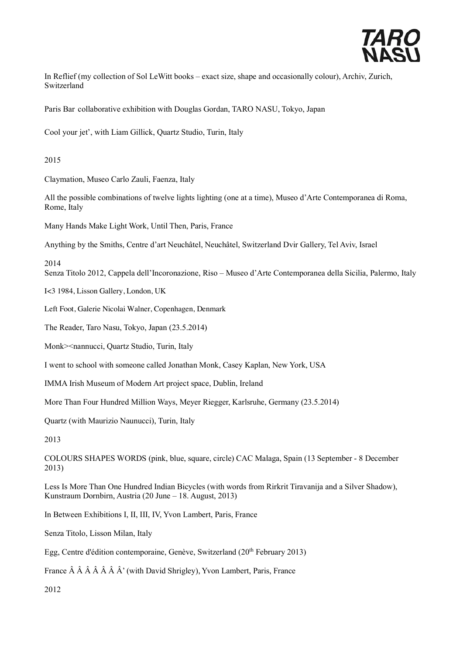

In Reflief (my collection of Sol LeWitt books – exact size, shape and occasionally colour), Archiv, Zurich, Switzerland

Paris Bar collaborative exhibition with Douglas Gordan, TARO NASU, Tokyo, Japan

Cool your jet', with Liam Gillick, Quartz Studio, Turin, Italy

2015

Claymation, Museo Carlo Zauli, Faenza, Italy

All the possible combinations of twelve lights lighting (one at a time), Museo d'Arte Contemporanea di Roma, Rome, Italy

Many Hands Make Light Work, Until Then, Paris, France

Anything by the Smiths, Centre d'art Neuchâtel, Neuchâtel, Switzerland Dvir Gallery, Tel Aviv, Israel

2014

Senza Titolo 2012, Cappela dell'Incoronazione, Riso – Museo d'Arte Contemporanea della Sicilia, Palermo, Italy

I<3 1984, Lisson Gallery, London, UK

Left Foot, Galerie Nicolai Walner, Copenhagen, Denmark

The Reader, Taro Nasu, Tokyo, Japan (23.5.2014)

Monk><nannucci, Quartz Studio, Turin, Italy

I went to school with someone called Jonathan Monk, Casey Kaplan, New York, USA

IMMA Irish Museum of Modern Art project space, Dublin, Ireland

More Than Four Hundred Million Ways, Meyer Riegger, Karlsruhe, Germany (23.5.2014)

Quartz (with Maurizio Naunucci), Turin, Italy

2013

COLOURS SHAPES WORDS (pink, blue, square, circle) CAC Malaga, Spain (13 September - 8 December 2013)

Less Is More Than One Hundred Indian Bicycles (with words from Rirkrit Tiravanija and a Silver Shadow), Kunstraum Dornbirn, Austria (20 June – 18. August, 2013)

In Between Exhibitions I, II, III, IV, Yvon Lambert, Paris, France

Senza Titolo, Lisson Milan, Italy

Egg, Centre d'édition contemporaine, Genève, Switzerland (20th February 2013)

France  $\hat{A}$   $\hat{A}$   $\hat{A}$   $\hat{A}$   $\hat{A}$   $\hat{A}$   $\hat{A}$ ' (with David Shrigley), Yvon Lambert, Paris, France

2012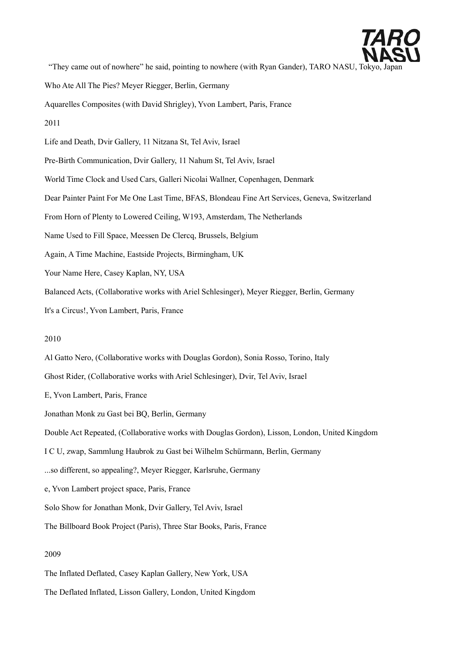

"They came out of nowhere" he said, pointing to nowhere (with Ryan Gander), TARO NASU, Tok

Who Ate All The Pies? Meyer Riegger, Berlin, Germany

Aquarelles Composites (with David Shrigley), Yvon Lambert, Paris, France

#### 2011

Life and Death, Dvir Gallery, 11 Nitzana St, Tel Aviv, Israel

Pre-Birth Communication, Dvir Gallery, 11 Nahum St, Tel Aviv, Israel

World Time Clock and Used Cars, Galleri Nicolai Wallner, Copenhagen, Denmark

Dear Painter Paint For Me One Last Time, BFAS, Blondeau Fine Art Services, Geneva, Switzerland

From Horn of Plenty to Lowered Ceiling, W193, Amsterdam, The Netherlands

Name Used to Fill Space, Meessen De Clercq, Brussels, Belgium

Again, A Time Machine, Eastside Projects, Birmingham, UK

Your Name Here, Casey Kaplan, NY, USA

Balanced Acts, (Collaborative works with Ariel Schlesinger), Meyer Riegger, Berlin, Germany

It's a Circus!, Yvon Lambert, Paris, France

### 2010

Al Gatto Nero, (Collaborative works with Douglas Gordon), Sonia Rosso, Torino, Italy Ghost Rider, (Collaborative works with Ariel Schlesinger), Dvir, Tel Aviv, Israel E, Yvon Lambert, Paris, France Jonathan Monk zu Gast bei BQ, Berlin, Germany Double Act Repeated, (Collaborative works with Douglas Gordon), Lisson, London, United Kingdom I C U, zwap, Sammlung Haubrok zu Gast bei Wilhelm Schürmann, Berlin, Germany ...so different, so appealing?, Meyer Riegger, Karlsruhe, Germany e, Yvon Lambert project space, Paris, France Solo Show for Jonathan Monk, Dvir Gallery, Tel Aviv, Israel The Billboard Book Project (Paris), Three Star Books, Paris, France 2009

The Inflated Deflated, Casey Kaplan Gallery, New York, USA

The Deflated Inflated, Lisson Gallery, London, United Kingdom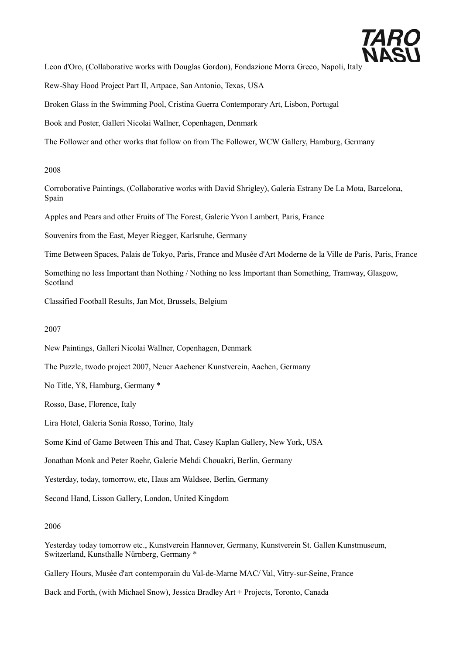

Leon d'Oro, (Collaborative works with Douglas Gordon), Fondazione Morra Greco, Napoli, Italy

Rew-Shay Hood Project Part II, Artpace, San Antonio, Texas, USA

Broken Glass in the Swimming Pool, Cristina Guerra Contemporary Art, Lisbon, Portugal

Book and Poster, Galleri Nicolai Wallner, Copenhagen, Denmark

The Follower and other works that follow on from The Follower, WCW Gallery, Hamburg, Germany

## 2008

Corroborative Paintings, (Collaborative works with David Shrigley), Galeria Estrany De La Mota, Barcelona, Spain

Apples and Pears and other Fruits of The Forest, Galerie Yvon Lambert, Paris, France

Souvenirs from the East, Meyer Riegger, Karlsruhe, Germany

Time Between Spaces, Palais de Tokyo, Paris, France and Musée d'Art Moderne de la Ville de Paris, Paris, France

Something no less Important than Nothing / Nothing no less Important than Something, Tramway, Glasgow, Scotland

Classified Football Results, Jan Mot, Brussels, Belgium

2007

New Paintings, Galleri Nicolai Wallner, Copenhagen, Denmark

The Puzzle, twodo project 2007, Neuer Aachener Kunstverein, Aachen, Germany

No Title, Y8, Hamburg, Germany \*

Rosso, Base, Florence, Italy

Lira Hotel, Galeria Sonia Rosso, Torino, Italy

Some Kind of Game Between This and That, Casey Kaplan Gallery, New York, USA

Jonathan Monk and Peter Roehr, Galerie Mehdi Chouakri, Berlin, Germany

Yesterday, today, tomorrow, etc, Haus am Waldsee, Berlin, Germany

Second Hand, Lisson Gallery, London, United Kingdom

### 2006

Yesterday today tomorrow etc., Kunstverein Hannover, Germany, Kunstverein St. Gallen Kunstmuseum, Switzerland, Kunsthalle Nürnberg, Germany \*

Gallery Hours, Musée d'art contemporain du Val-de-Marne MAC/ Val, Vitry-sur-Seine, France

Back and Forth, (with Michael Snow), Jessica Bradley Art + Projects, Toronto, Canada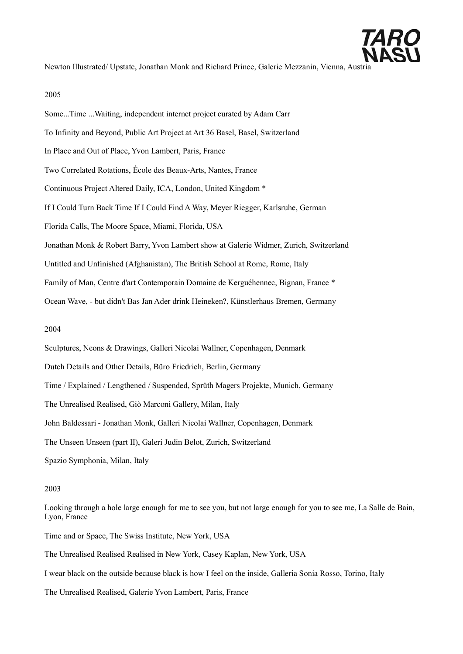

Newton Illustrated/ Upstate, Jonathan Monk and Richard Prince, Galerie Mezzanin, Vienna, Austria

#### 2005

Some...Time ...Waiting, independent internet project curated by Adam Carr To Infinity and Beyond, Public Art Project at Art 36 Basel, Basel, Switzerland In Place and Out of Place, Yvon Lambert, Paris, France Two Correlated Rotations, École des Beaux-Arts, Nantes, France Continuous Project Altered Daily, ICA, London, United Kingdom \* If I Could Turn Back Time If I Could Find A Way, Meyer Riegger, Karlsruhe, German Florida Calls, The Moore Space, Miami, Florida, USA Jonathan Monk & Robert Barry, Yvon Lambert show at Galerie Widmer, Zurich, Switzerland Untitled and Unfinished (Afghanistan), The British School at Rome, Rome, Italy Family of Man, Centre d'art Contemporain Domaine de Kerguéhennec, Bignan, France \* Ocean Wave, - but didn't Bas Jan Ader drink Heineken?, Künstlerhaus Bremen, Germany 2004 Sculptures, Neons & Drawings, Galleri Nicolai Wallner, Copenhagen, Denmark Dutch Details and Other Details, Büro Friedrich, Berlin, Germany Time / Explained / Lengthened / Suspended, Sprüth Magers Projekte, Munich, Germany The Unrealised Realised, Giò Marconi Gallery, Milan, Italy

John Baldessari - Jonathan Monk, Galleri Nicolai Wallner, Copenhagen, Denmark

The Unseen Unseen (part II), Galeri Judin Belot, Zurich, Switzerland

Spazio Symphonia, Milan, Italy

#### 2003

Looking through a hole large enough for me to see you, but not large enough for you to see me, La Salle de Bain, Lyon, France

Time and or Space, The Swiss Institute, New York, USA

The Unrealised Realised Realised in New York, Casey Kaplan, New York, USA

I wear black on the outside because black is how I feel on the inside, Galleria Sonia Rosso, Torino, Italy

The Unrealised Realised, Galerie Yvon Lambert, Paris, France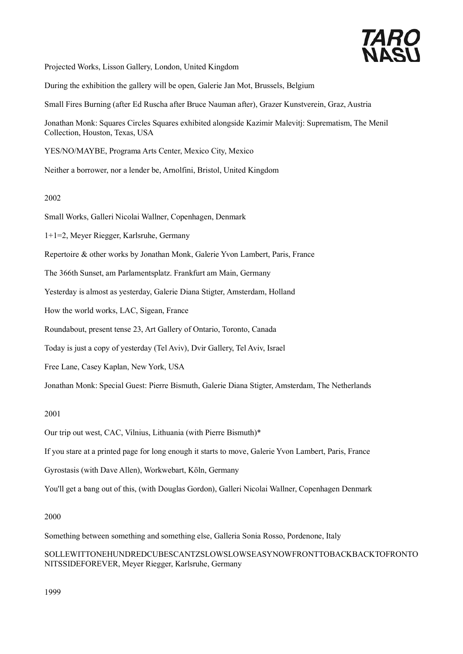

Projected Works, Lisson Gallery, London, United Kingdom

During the exhibition the gallery will be open, Galerie Jan Mot, Brussels, Belgium

Small Fires Burning (after Ed Ruscha after Bruce Nauman after), Grazer Kunstverein, Graz, Austria

Jonathan Monk: Squares Circles Squares exhibited alongside Kazimir Malevitj: Suprematism, The Menil Collection, Houston, Texas, USA

YES/NO/MAYBE, Programa Arts Center, Mexico City, Mexico

Neither a borrower, nor a lender be, Arnolfini, Bristol, United Kingdom

#### 2002

Small Works, Galleri Nicolai Wallner, Copenhagen, Denmark

1+1=2, Meyer Riegger, Karlsruhe, Germany

Repertoire & other works by Jonathan Monk, Galerie Yvon Lambert, Paris, France

The 366th Sunset, am Parlamentsplatz. Frankfurt am Main, Germany

Yesterday is almost as yesterday, Galerie Diana Stigter, Amsterdam, Holland

How the world works, LAC, Sigean, France

Roundabout, present tense 23, Art Gallery of Ontario, Toronto, Canada

Today is just a copy of yesterday (Tel Aviv), Dvir Gallery, Tel Aviv, Israel

Free Lane, Casey Kaplan, New York, USA

Jonathan Monk: Special Guest: Pierre Bismuth, Galerie Diana Stigter, Amsterdam, The Netherlands

2001

Our trip out west, CAC, Vilnius, Lithuania (with Pierre Bismuth)\*

If you stare at a printed page for long enough it starts to move, Galerie Yvon Lambert, Paris, France

Gyrostasis (with Dave Allen), Workwebart, Köln, Germany

You'll get a bang out of this, (with Douglas Gordon), Galleri Nicolai Wallner, Copenhagen Denmark

### 2000

Something between something and something else, Galleria Sonia Rosso, Pordenone, Italy

SOLLEWITTONEHUNDREDCUBESCANTZSLOWSLOWSEASYNOWFRONTTOBACKBACKTOFRONTO NITSSIDEFOREVER, Meyer Riegger, Karlsruhe, Germany

1999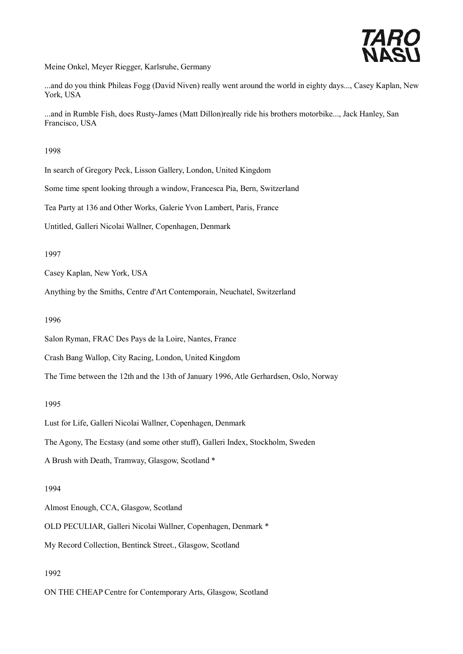

Meine Onkel, Meyer Riegger, Karlsruhe, Germany

...and do you think Phileas Fogg (David Niven) really went around the world in eighty days..., Casey Kaplan, New York, USA

...and in Rumble Fish, does Rusty-James (Matt Dillon)really ride his brothers motorbike..., Jack Hanley, San Francisco, USA

## 1998

In search of Gregory Peck, Lisson Gallery, London, United Kingdom

Some time spent looking through a window, Francesca Pia, Bern, Switzerland

Tea Party at 136 and Other Works, Galerie Yvon Lambert, Paris, France

Untitled, Galleri Nicolai Wallner, Copenhagen, Denmark

## 1997

Casey Kaplan, New York, USA

Anything by the Smiths, Centre d'Art Contemporain, Neuchatel, Switzerland

## 1996

Salon Ryman, FRAC Des Pays de la Loire, Nantes, France

Crash Bang Wallop, City Racing, London, United Kingdom

The Time between the 12th and the 13th of January 1996, Atle Gerhardsen, Oslo, Norway

## 1995

Lust for Life, Galleri Nicolai Wallner, Copenhagen, Denmark

The Agony, The Ecstasy (and some other stuff), Galleri Index, Stockholm, Sweden

A Brush with Death, Tramway, Glasgow, Scotland \*

### 1994

Almost Enough, CCA, Glasgow, Scotland

OLD PECULIAR, Galleri Nicolai Wallner, Copenhagen, Denmark \*

My Record Collection, Bentinck Street., Glasgow, Scotland

## 1992

ON THE CHEAP Centre for Contemporary Arts, Glasgow, Scotland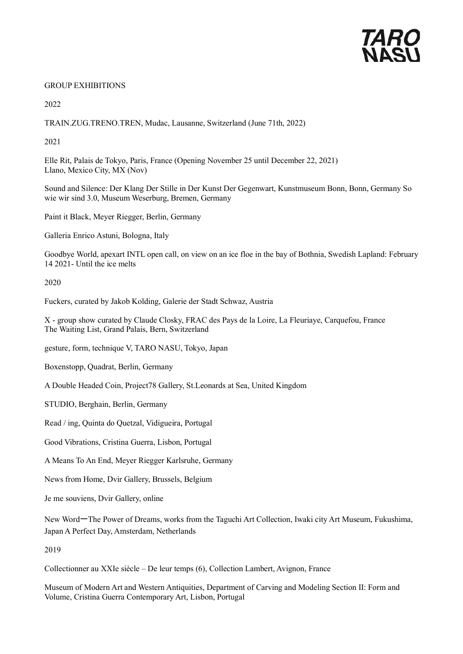

## GROUP EXHIBITIONS

2022

TRAIN.ZUG.TRENO.TREN, Mudac, Lausanne, Switzerland (June 71th, 2022)

2021

Elle Rit, Palais de Tokyo, Paris, France (Opening November 25 until December 22, 2021) Llano, Mexico City, MX (Nov)

Sound and Silence: Der Klang Der Stille in Der Kunst Der Gegenwart, Kunstmuseum Bonn, Bonn, Germany So wie wir sind 3.0, Museum Weserburg, Bremen, Germany

Paint it Black, Meyer Riegger, Berlin, Germany

Galleria Enrico Astuni, Bologna, Italy

Goodbye World, apexart INTL open call, on view on an ice floe in the bay of Bothnia, Swedish Lapland: February 14 2021- Until the ice melts

2020

Fuckers, curated by Jakob Kolding, Galerie der Stadt Schwaz, Austria

X - group show curated by Claude Closky, FRAC des Pays de la Loire, La Fleuriaye, Carquefou, France The Waiting List, Grand Palais, Bern, Switzerland

gesture, form, technique V, TARO NASU, Tokyo, Japan

Boxenstopp, Quadrat, Berlin, Germany

A Double Headed Coin, Project78 Gallery, St.Leonards at Sea, United Kingdom

STUDIO, Berghain, Berlin, Germany

Read / ing, Quinta do Quetzal, Vidigueira, Portugal

Good Vibrations, Cristina Guerra, Lisbon, Portugal

A Means To An End, Meyer Riegger Karlsruhe, Germany

News from Home, Dvir Gallery, Brussels, Belgium

Je me souviens, Dvir Gallery, online

New WordーThe Power of Dreams, works from the Taguchi Art Collection, Iwaki city Art Museum, Fukushima, Japan A Perfect Day, Amsterdam, Netherlands

2019

Collectionner au XXIe siècle – De leur temps (6), Collection Lambert, Avignon, France

Museum of Modern Art and Western Antiquities, Department of Carving and Modeling Section II: Form and Volume, Cristina Guerra Contemporary Art, Lisbon, Portugal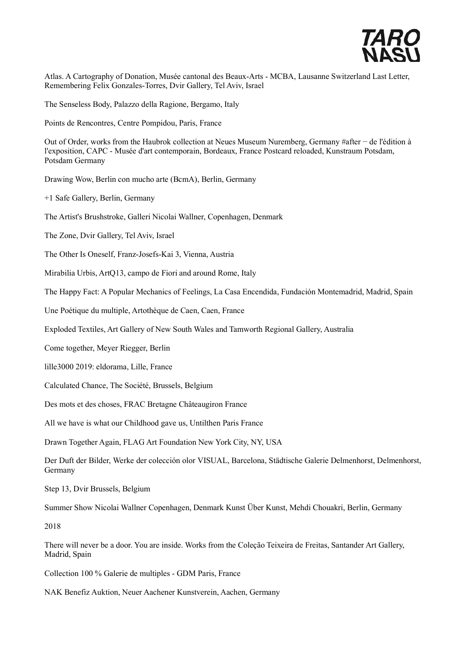

Atlas. A Cartography of Donation, Musée cantonal des Beaux-Arts - MCBA, Lausanne Switzerland Last Letter, Remembering Felix Gonzales-Torres, Dvir Gallery, Tel Aviv, Israel

The Senseless Body, Palazzo della Ragione, Bergamo, Italy

Points de Rencontres, Centre Pompidou, Paris, France

Out of Order, works from the Haubrok collection at Neues Museum Nuremberg, Germany #after − de l'édition à l'exposition, CAPC - Musée d'art contemporain, Bordeaux, France Postcard reloaded, Kunstraum Potsdam, Potsdam Germany

Drawing Wow, Berlin con mucho arte (BcmA), Berlin, Germany

+1 Safe Gallery, Berlin, Germany

The Artist's Brushstroke, Galleri Nicolai Wallner, Copenhagen, Denmark

The Zone, Dvir Gallery, Tel Aviv, Israel

The Other Is Oneself, Franz-Josefs-Kai 3, Vienna, Austria

Mirabilia Urbis, ArtQ13, campo de Fiori and around Rome, Italy

The Happy Fact: A Popular Mechanics of Feelings, La Casa Encendida, Fundación Montemadrid, Madrid, Spain

Une Poétique du multiple, Artothèque de Caen, Caen, France

Exploded Textiles, Art Gallery of New South Wales and Tamworth Regional Gallery, Australia

Come together, Meyer Riegger, Berlin

lille3000 2019: eldorama, Lille, France

Calculated Chance, The Société, Brussels, Belgium

Des mots et des choses, FRAC Bretagne Châteaugiron France

All we have is what our Childhood gave us, Untilthen Paris France

Drawn Together Again, FLAG Art Foundation New York City, NY, USA

Der Duft der Bilder, Werke der colección olor VISUAL, Barcelona, Städtische Galerie Delmenhorst, Delmenhorst, Germany

Step 13, Dvir Brussels, Belgium

Summer Show Nicolai Wallner Copenhagen, Denmark Kunst Über Kunst, Mehdi Chouakri, Berlin, Germany

2018

There will never be a door. You are inside. Works from the Coleção Teixeira de Freitas, Santander Art Gallery, Madrid, Spain

Collection 100 % Galerie de multiples - GDM Paris, France

NAK Benefiz Auktion, Neuer Aachener Kunstverein, Aachen, Germany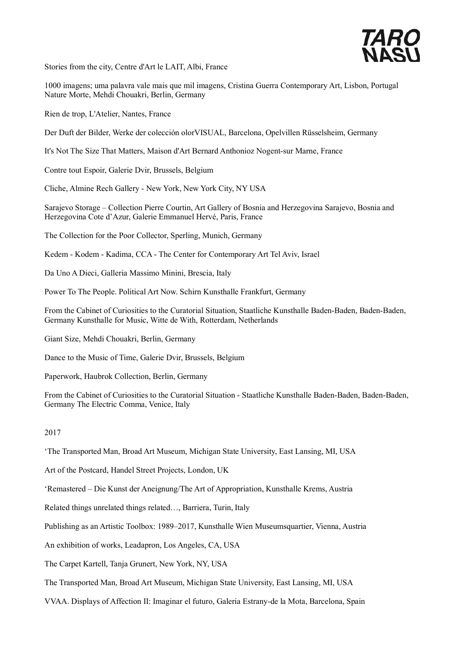

Stories from the city, Centre d'Art le LAIT, Albi, France

1000 imagens; uma palavra vale mais que mil imagens, Cristina Guerra Contemporary Art, Lisbon, Portugal Nature Morte, Mehdi Chouakri, Berlin, Germany

Rien de trop, L'Atelier, Nantes, France

Der Duft der Bilder, Werke der colección olorVISUAL, Barcelona, Opelvillen Rüsselsheim, Germany

It's Not The Size That Matters, Maison d'Art Bernard Anthonioz Nogent-sur Marne, France

Contre tout Espoir, Galerie Dvir, Brussels, Belgium

Cliche, Almine Rech Gallery - New York, New York City, NY USA

Sarajevo Storage – Collection Pierre Courtin, Art Gallery of Bosnia and Herzegovina Sarajevo, Bosnia and Herzegovina Cote d'Azur, Galerie Emmanuel Hervé, Paris, France

The Collection for the Poor Collector, Sperling, Munich, Germany

Kedem - Kodem - Kadima, CCA - The Center for Contemporary Art Tel Aviv, Israel

Da Uno A Dieci, Galleria Massimo Minini, Brescia, Italy

Power To The People. Political Art Now. Schirn Kunsthalle Frankfurt, Germany

From the Cabinet of Curiosities to the Curatorial Situation, Staatliche Kunsthalle Baden-Baden, Baden-Baden, Germany Kunsthalle for Music, Witte de With, Rotterdam, Netherlands

Giant Size, Mehdi Chouakri, Berlin, Germany

Dance to the Music of Time, Galerie Dvir, Brussels, Belgium

Paperwork, Haubrok Collection, Berlin, Germany

From the Cabinet of Curiosities to the Curatorial Situation - Staatliche Kunsthalle Baden-Baden, Baden-Baden, Germany The Electric Comma, Venice, Italy

2017

'The Transported Man, Broad Art Museum, Michigan State University, East Lansing, MI, USA

Art of the Postcard, Handel Street Projects, London, UK

'Remastered – Die Kunst der Aneignung/The Art of Appropriation, Kunsthalle Krems, Austria

Related things unrelated things related…, Barriera, Turin, Italy

Publishing as an Artistic Toolbox: 1989–2017, Kunsthalle Wien Museumsquartier, Vienna, Austria

An exhibition of works, Leadapron, Los Angeles, CA, USA

The Carpet Kartell, Tanja Grunert, New York, NY, USA

The Transported Man, Broad Art Museum, Michigan State University, East Lansing, MI, USA

VVAA. Displays of Affection II: Imaginar el futuro, Galeria Estrany-de la Mota, Barcelona, Spain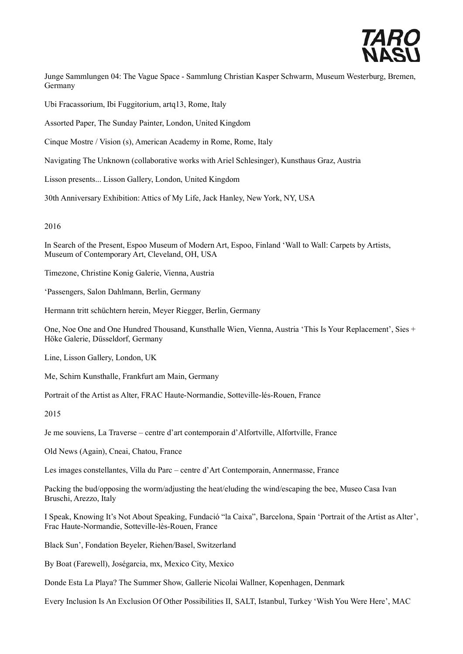

Junge Sammlungen 04: The Vague Space - Sammlung Christian Kasper Schwarm, Museum Westerburg, Bremen, Germany

Ubi Fracassorium, Ibi Fuggitorium, artq13, Rome, Italy

Assorted Paper, The Sunday Painter, London, United Kingdom

Cinque Mostre / Vision (s), American Academy in Rome, Rome, Italy

Navigating The Unknown (collaborative works with Ariel Schlesinger), Kunsthaus Graz, Austria

Lisson presents... Lisson Gallery, London, United Kingdom

30th Anniversary Exhibition: Attics of My Life, Jack Hanley, New York, NY, USA

#### 2016

In Search of the Present, Espoo Museum of Modern Art, Espoo, Finland 'Wall to Wall: Carpets by Artists, Museum of Contemporary Art, Cleveland, OH, USA

Timezone, Christine Konig Galerie, Vienna, Austria

'Passengers, Salon Dahlmann, Berlin, Germany

Hermann tritt schüchtern herein, Meyer Riegger, Berlin, Germany

One, Noe One and One Hundred Thousand, Kunsthalle Wien, Vienna, Austria 'This Is Your Replacement', Sies + Höke Galerie, Düsseldorf, Germany

Line, Lisson Gallery, London, UK

Me, Schirn Kunsthalle, Frankfurt am Main, Germany

Portrait of the Artist as Alter, FRAC Haute-Normandie, Sotteville-lés-Rouen, France

2015

Je me souviens, La Traverse – centre d'art contemporain d'Alfortville, Alfortville, France

Old News (Again), Cneai, Chatou, France

Les images constellantes, Villa du Parc – centre d'Art Contemporain, Annermasse, France

Packing the bud/opposing the worm/adjusting the heat/eluding the wind/escaping the bee, Museo Casa Ivan Bruschi, Arezzo, Italy

I Speak, Knowing It's Not About Speaking, Fundació "la Caixa", Barcelona, Spain 'Portrait of the Artist as Alter', Frac Haute-Normandie, Sotteville-lès-Rouen, France

Black Sun', Fondation Beyeler, Riehen/Basel, Switzerland

By Boat (Farewell), Joségarcia, mx, Mexico City, Mexico

Donde Esta La Playa? The Summer Show, Gallerie Nicolai Wallner, Kopenhagen, Denmark

Every Inclusion Is An Exclusion Of Other Possibilities II, SALT, Istanbul, Turkey 'Wish You Were Here', MAC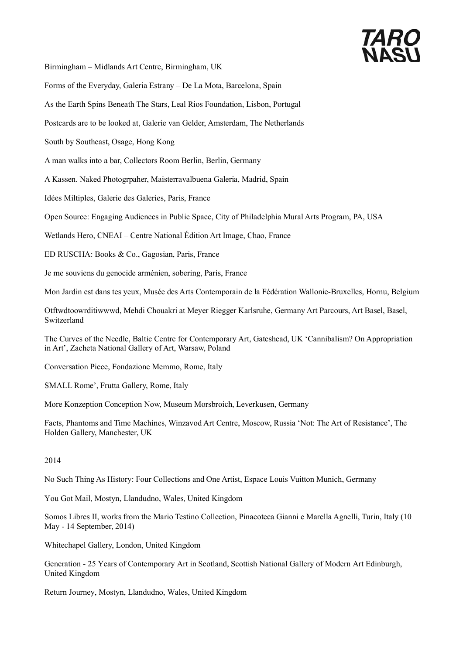# *TARO*<br>NASI

Birmingham – Midlands Art Centre, Birmingham, UK

Forms of the Everyday, Galeria Estrany – De La Mota, Barcelona, Spain

As the Earth Spins Beneath The Stars, Leal Rios Foundation, Lisbon, Portugal

Postcards are to be looked at, Galerie van Gelder, Amsterdam, The Netherlands

South by Southeast, Osage, Hong Kong

A man walks into a bar, Collectors Room Berlin, Berlin, Germany

A Kassen. Naked Photogrpaher, Maisterravalbuena Galeria, Madrid, Spain

Idées Miltiples, Galerie des Galeries, Paris, France

Open Source: Engaging Audiences in Public Space, City of Philadelphia Mural Arts Program, PA, USA

Wetlands Hero, CNEAI – Centre National Édition Art Image, Chao, France

ED RUSCHA: Books & Co., Gagosian, Paris, France

Je me souviens du genocide arménien, sobering, Paris, France

Mon Jardin est dans tes yeux, Musée des Arts Contemporain de la Fédération Wallonie-Bruxelles, Hornu, Belgium

Otftwdtoowrditiwwwd, Mehdi Chouakri at Meyer Riegger Karlsruhe, Germany Art Parcours, Art Basel, Basel, Switzerland

The Curves of the Needle, Baltic Centre for Contemporary Art, Gateshead, UK 'Cannibalism? On Appropriation in Art', Zacheta National Gallery of Art, Warsaw, Poland

Conversation Piece, Fondazione Memmo, Rome, Italy

SMALL Rome', Frutta Gallery, Rome, Italy

More Konzeption Conception Now, Museum Morsbroich, Leverkusen, Germany

Facts, Phantoms and Time Machines, Winzavod Art Centre, Moscow, Russia 'Not: The Art of Resistance', The Holden Gallery, Manchester, UK

#### 2014

No Such Thing As History: Four Collections and One Artist, Espace Louis Vuitton Munich, Germany

You Got Mail, Mostyn, Llandudno, Wales, United Kingdom

Somos Libres II, works from the Mario Testino Collection, Pinacoteca Gianni e Marella Agnelli, Turin, Italy (10 May - 14 September, 2014)

Whitechapel Gallery, London, United Kingdom

Generation - 25 Years of Contemporary Art in Scotland, Scottish National Gallery of Modern Art Edinburgh, United Kingdom

Return Journey, Mostyn, Llandudno, Wales, United Kingdom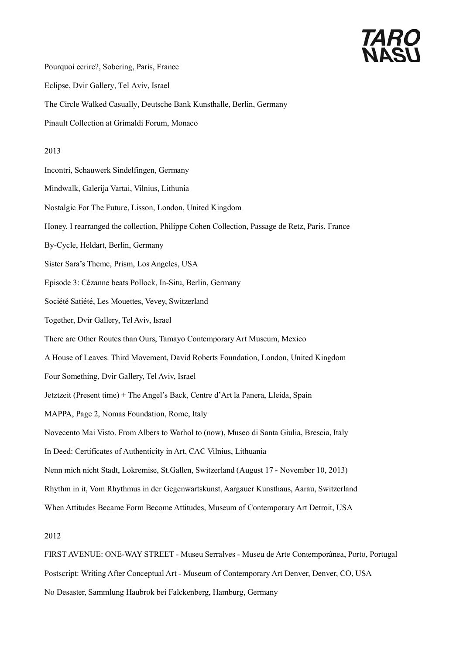# *TARO*<br>NASI

Pourquoi ecrire?, Sobering, Paris, France

Eclipse, Dvir Gallery, Tel Aviv, Israel

The Circle Walked Casually, Deutsche Bank Kunsthalle, Berlin, Germany

Pinault Collection at Grimaldi Forum, Monaco

## 2013

Incontri, Schauwerk Sindelfingen, Germany

Mindwalk, Galerija Vartai, Vilnius, Lithunia

- Nostalgic For The Future, Lisson, London, United Kingdom
- Honey, I rearranged the collection, Philippe Cohen Collection, Passage de Retz, Paris, France
- By-Cycle, Heldart, Berlin, Germany
- Sister Sara's Theme, Prism, Los Angeles, USA
- Episode 3: Cézanne beats Pollock, In-Situ, Berlin, Germany
- Société Satiété, Les Mouettes, Vevey, Switzerland
- Together, Dvir Gallery, Tel Aviv, Israel
- There are Other Routes than Ours, Tamayo Contemporary Art Museum, Mexico
- A House of Leaves. Third Movement, David Roberts Foundation, London, United Kingdom
- Four Something, Dvir Gallery, Tel Aviv, Israel
- Jetztzeit (Present time) + The Angel's Back, Centre d'Art la Panera, Lleida, Spain
- MAPPA, Page 2, Nomas Foundation, Rome, Italy
- Novecento Mai Visto. From Albers to Warhol to (now), Museo di Santa Giulia, Brescia, Italy
- In Deed: Certificates of Authenticity in Art, CAC Vilnius, Lithuania
- Nenn mich nicht Stadt, Lokremise, St.Gallen, Switzerland (August 17 November 10, 2013)
- Rhythm in it, Vom Rhythmus in der Gegenwartskunst, Aargauer Kunsthaus, Aarau, Switzerland
- When Attitudes Became Form Become Attitudes, Museum of Contemporary Art Detroit, USA

2012

FIRST AVENUE: ONE-WAY STREET - Museu Serralves - Museu de Arte Contemporânea, Porto, Portugal Postscript: Writing After Conceptual Art - Museum of Contemporary Art Denver, Denver, CO, USA No Desaster, Sammlung Haubrok bei Falckenberg, Hamburg, Germany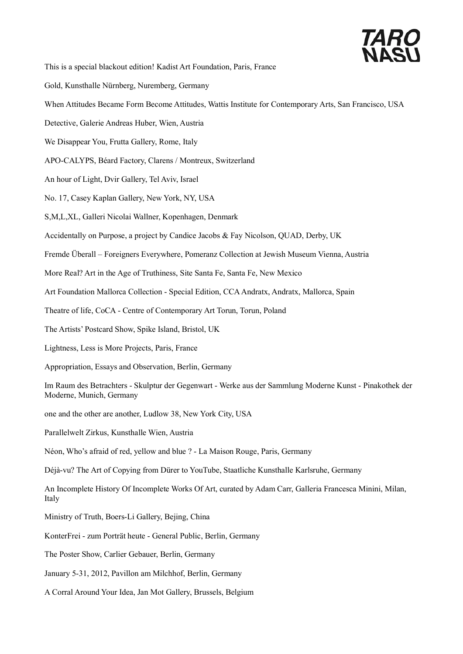

This is a special blackout edition! Kadist Art Foundation, Paris, France

- Gold, Kunsthalle Nürnberg, Nuremberg, Germany
- When Attitudes Became Form Become Attitudes, Wattis Institute for Contemporary Arts, San Francisco, USA
- Detective, Galerie Andreas Huber, Wien, Austria
- We Disappear You, Frutta Gallery, Rome, Italy
- APO-CALYPS, Béard Factory, Clarens / Montreux, Switzerland
- An hour of Light, Dvir Gallery, Tel Aviv, Israel
- No. 17, Casey Kaplan Gallery, New York, NY, USA
- S,M,L,XL, Galleri Nicolai Wallner, Kopenhagen, Denmark
- Accidentally on Purpose, a project by Candice Jacobs & Fay Nicolson, QUAD, Derby, UK
- Fremde Überall Foreigners Everywhere, Pomeranz Collection at Jewish Museum Vienna, Austria
- More Real? Art in the Age of Truthiness, Site Santa Fe, Santa Fe, New Mexico
- Art Foundation Mallorca Collection Special Edition, CCA Andratx, Andratx, Mallorca, Spain
- Theatre of life, CoCA Centre of Contemporary Art Torun, Torun, Poland
- The Artists' Postcard Show, Spike Island, Bristol, UK
- Lightness, Less is More Projects, Paris, France
- Appropriation, Essays and Observation, Berlin, Germany
- Im Raum des Betrachters Skulptur der Gegenwart Werke aus der Sammlung Moderne Kunst Pinakothek der Moderne, Munich, Germany
- one and the other are another, Ludlow 38, New York City, USA
- Parallelwelt Zirkus, Kunsthalle Wien, Austria
- Néon, Who's afraid of red, yellow and blue ? La Maison Rouge, Paris, Germany
- Déjà-vu? The Art of Copying from Dürer to YouTube, Staatliche Kunsthalle Karlsruhe, Germany
- An Incomplete History Of Incomplete Works Of Art, curated by Adam Carr, Galleria Francesca Minini, Milan, Italy
- Ministry of Truth, Boers-Li Gallery, Bejing, China
- KonterFrei zum Porträt heute General Public, Berlin, Germany
- The Poster Show, Carlier Gebauer, Berlin, Germany
- January 5-31, 2012, Pavillon am Milchhof, Berlin, Germany
- A Corral Around Your Idea, Jan Mot Gallery, Brussels, Belgium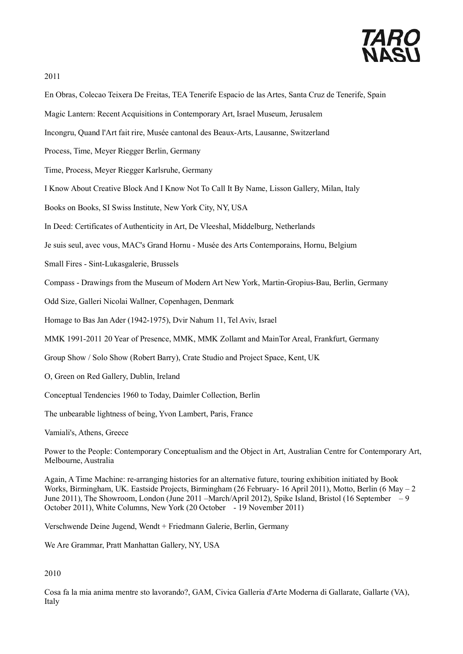

2011

- En Obras, Colecao Teixera De Freitas, TEA Tenerife Espacio de las Artes, Santa Cruz de Tenerife, Spain
- Magic Lantern: Recent Acquisitions in Contemporary Art, Israel Museum, Jerusalem
- Incongru, Quand l'Art fait rire, Musée cantonal des Beaux-Arts, Lausanne, Switzerland
- Process, Time, Meyer Riegger Berlin, Germany
- Time, Process, Meyer Riegger Karlsruhe, Germany
- I Know About Creative Block And I Know Not To Call It By Name, Lisson Gallery, Milan, Italy
- Books on Books, SI Swiss Institute, New York City, NY, USA
- In Deed: Certificates of Authenticity in Art, De Vleeshal, Middelburg, Netherlands
- Je suis seul, avec vous, MAC's Grand Hornu Musée des Arts Contemporains, Hornu, Belgium
- Small Fires Sint-Lukasgalerie, Brussels
- Compass Drawings from the Museum of Modern Art New York, Martin-Gropius-Bau, Berlin, Germany
- Odd Size, Galleri Nicolai Wallner, Copenhagen, Denmark
- Homage to Bas Jan Ader (1942-1975), Dvir Nahum 11, Tel Aviv, Israel
- MMK 1991-2011 20 Year of Presence, MMK, MMK Zollamt and MainTor Areal, Frankfurt, Germany
- Group Show / Solo Show (Robert Barry), Crate Studio and Project Space, Kent, UK
- O, Green on Red Gallery, Dublin, Ireland
- Conceptual Tendencies 1960 to Today, Daimler Collection, Berlin
- The unbearable lightness of being, Yvon Lambert, Paris, France

Vamiali's, Athens, Greece

Power to the People: Contemporary Conceptualism and the Object in Art, Australian Centre for Contemporary Art, Melbourne, Australia

Again, A Time Machine: re-arranging histories for an alternative future, touring exhibition initiated by Book Works, Birmingham, UK. Eastside Projects, Birmingham (26 February- 16 April 2011), Motto, Berlin (6 May – 2 June 2011), The Showroom, London (June 2011 –March/April 2012), Spike Island, Bristol (16 September – 9 October 2011), White Columns, New York (20 October - 19 November 2011)

Verschwende Deine Jugend, Wendt + Friedmann Galerie, Berlin, Germany

We Are Grammar, Pratt Manhattan Gallery, NY, USA

2010

Cosa fa la mia anima mentre sto lavorando?, GAM, Civica Galleria d'Arte Moderna di Gallarate, Gallarte (VA), Italy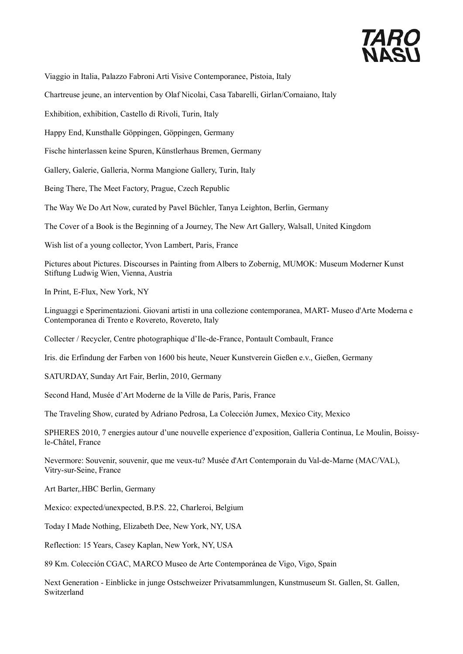

Viaggio in Italia, Palazzo Fabroni Arti Visive Contemporanee, Pistoia, Italy

Chartreuse jeune, an intervention by Olaf Nicolai, Casa Tabarelli, Girlan/Cornaiano, Italy

Exhibition, exhibition, Castello di Rivoli, Turin, Italy

Happy End, Kunsthalle Göppingen, Göppingen, Germany

Fische hinterlassen keine Spuren, Künstlerhaus Bremen, Germany

Gallery, Galerie, Galleria, Norma Mangione Gallery, Turin, Italy

Being There, The Meet Factory, Prague, Czech Republic

The Way We Do Art Now, curated by Pavel Büchler, Tanya Leighton, Berlin, Germany

The Cover of a Book is the Beginning of a Journey, The New Art Gallery, Walsall, United Kingdom

Wish list of a young collector, Yvon Lambert, Paris, France

Pictures about Pictures. Discourses in Painting from Albers to Zobernig, MUMOK: Museum Moderner Kunst Stiftung Ludwig Wien, Vienna, Austria

In Print, E-Flux, New York, NY

Linguaggi e Sperimentazioni. Giovani artisti in una collezione contemporanea, MART- Museo d'Arte Moderna e Contemporanea di Trento e Rovereto, Rovereto, Italy

Collecter / Recycler, Centre photographique d'Ile-de-France, Pontault Combault, France

Iris. die Erfindung der Farben von 1600 bis heute, Neuer Kunstverein Gießen e.v., Gießen, Germany

SATURDAY, Sunday Art Fair, Berlin, 2010, Germany

Second Hand, Musée d'Art Moderne de la Ville de Paris, Paris, France

The Traveling Show, curated by Adriano Pedrosa, La Colección Jumex, Mexico City, Mexico

SPHERES 2010, 7 energies autour d'une nouvelle experience d'exposition, Galleria Continua, Le Moulin, Boissyle-Châtel, France

Nevermore: Souvenir, souvenir, que me veux-tu? Musée d'Art Contemporain du Val-de-Marne (MAC/VAL), Vitry-sur-Seine, France

Art Barter,.HBC Berlin, Germany

Mexico: expected/unexpected, B.P.S. 22, Charleroi, Belgium

Today I Made Nothing, Elizabeth Dee, New York, NY, USA

Reflection: 15 Years, Casey Kaplan, New York, NY, USA

89 Km. Colección CGAC, MARCO Museo de Arte Contemporánea de Vigo, Vigo, Spain

Next Generation - Einblicke in junge Ostschweizer Privatsammlungen, Kunstmuseum St. Gallen, St. Gallen, Switzerland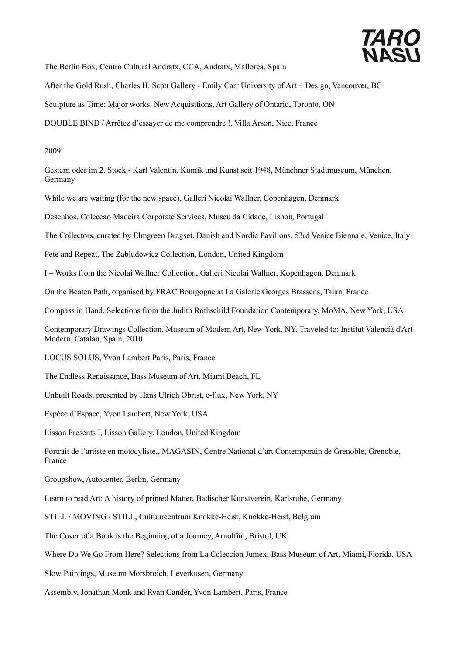

The Berlin Box, Centro Cultural Andratx, CCA, Andratx, Mallorca, Spain

After the Gold Rush, Charles H. Scott Gallery - Emily Carr University of Art + Design, Vancouver, BC

Sculpture as Time: Major works. New Acquisitions, Art Gallery of Ontario, Toronto, ON

DOUBLE BIND / Arrêtez d'essayer de me comprendre !, Villa Arson, Nice, France

2009

Gestern oder im 2. Stock - Karl Valentin, Komik und Kunst seit 1948, Münchner Stadtmuseum, München, Germany

While we are waiting (for the new space), Galleri Nicolai Wallner, Copenhagen, Denmark

Desenhos, Coleccao Madeira Corporate Services, Museu da Cidade, Lisbon, Portugal

The Collectors, curated by Elmgreen Dragset, Danish and Nordic Pavilions, 53rd Venice Biennale, Venice, Italy

Pete and Repeat, The Zabludowicz Collection, London, United Kingdom

I – Works from the Nicolai Wallner Collection, Galleri Nicolai Wallner, Kopenhagen, Denmark

On the Beaten Path, organised by FRAC Bourgogne at La Galerie Georges Brassens, Talan, France

Compass in Hand, Selections from the Judith Rothschild Foundation Contemporary, MoMA, New York, USA

Contemporary Drawings Collection, Museum of Modern Art, New York, NY. Traveled to: Institut Valencià d'Art Modern, Catalan, Spain, 2010

LOCUS SOLUS, Yvon Lambert Paris, Paris, France

The Endless Renaissance, Bass Museum of Art, Miami Beach, FL

Unbuilt Roads, presented by Hans Ulrich Obrist, e-flux, New York, NY

Espéce d'Espace, Yvon Lambert, New York, USA

Lisson Presents I, Lisson Gallery, London, United Kingdom

Portrait de l'artiste en motocyliste,, MAGASIN, Centre National d'art Contemporain de Grenoble, Grenoble, France

Groupshow, Autocenter, Berlin, Germany

Learn to read Art: A history of printed Matter, Badischer Kunstverein, Karlsruhe, Germany

STILL / MOVING / STILL, Cultuurcentrum Knokke-Heist, Knokke-Heist, Belgium

The Cover of a Book is the Beginning of a Journey, Arnolfini, Bristol, UK

Where Do We Go From Here? Selections from La Coleccion Jumex, Bass Museum of Art, Miami, Florida, USA

Slow Paintings, Museum Morsbroich, Leverkusen, Germany

Assembly, Jonathan Monk and Ryan Gander, Yvon Lambert, Paris, France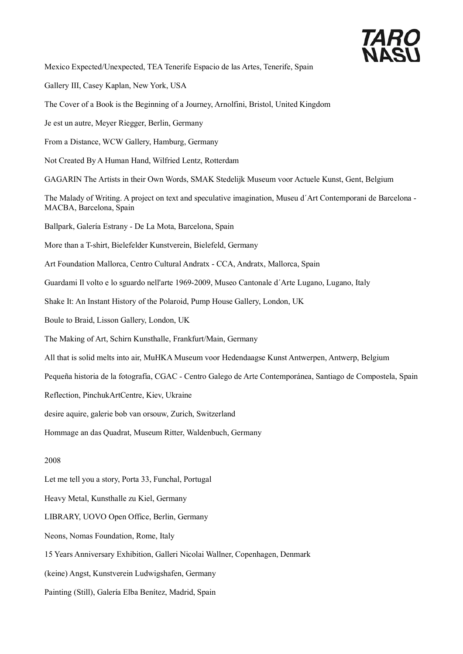

Mexico Expected/Unexpected, TEA Tenerife Espacio de las Artes, Tenerife, Spain

Gallery III, Casey Kaplan, New York, USA

The Cover of a Book is the Beginning of a Journey, Arnolfini, Bristol, United Kingdom

Je est un autre, Meyer Riegger, Berlin, Germany

From a Distance, WCW Gallery, Hamburg, Germany

Not Created By A Human Hand, Wilfried Lentz, Rotterdam

GAGARIN The Artists in their Own Words, SMAK Stedelijk Museum voor Actuele Kunst, Gent, Belgium

The Malady of Writing. A project on text and speculative imagination, Museu d´Art Contemporani de Barcelona - MACBA, Barcelona, Spain

Ballpark, Galería Estrany - De La Mota, Barcelona, Spain

More than a T-shirt, Bielefelder Kunstverein, Bielefeld, Germany

Art Foundation Mallorca, Centro Cultural Andratx - CCA, Andratx, Mallorca, Spain

Guardami Il volto e lo sguardo nell'arte 1969-2009, Museo Cantonale d´Arte Lugano, Lugano, Italy

Shake It: An Instant History of the Polaroid, Pump House Gallery, London, UK

Boule to Braid, Lisson Gallery, London, UK

The Making of Art, Schirn Kunsthalle, Frankfurt/Main, Germany

All that is solid melts into air, MuHKA Museum voor Hedendaagse Kunst Antwerpen, Antwerp, Belgium

Pequeña historia de la fotografía, CGAC - Centro Galego de Arte Contemporánea, Santiago de Compostela, Spain

Reflection, PinchukArtCentre, Kiev, Ukraine

desire aquire, galerie bob van orsouw, Zurich, Switzerland

Hommage an das Quadrat, Museum Ritter, Waldenbuch, Germany

### 2008

Let me tell you a story, Porta 33, Funchal, Portugal

Heavy Metal, Kunsthalle zu Kiel, Germany

LIBRARY, UOVO Open Office, Berlin, Germany

Neons, Nomas Foundation, Rome, Italy

15 Years Anniversary Exhibition, Galleri Nicolai Wallner, Copenhagen, Denmark

(keine) Angst, Kunstverein Ludwigshafen, Germany

Painting (Still), Galería Elba Benítez, Madrid, Spain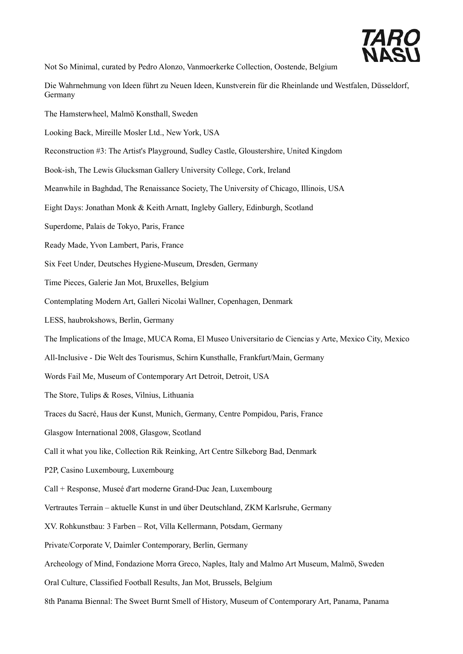

Not So Minimal, curated by Pedro Alonzo, Vanmoerkerke Collection, Oostende, Belgium

- Die Wahrnehmung von Ideen führt zu Neuen Ideen, Kunstverein für die Rheinlande und Westfalen, Düsseldorf, Germany
- The Hamsterwheel, Malmö Konsthall, Sweden
- Looking Back, Mireille Mosler Ltd., New York, USA
- Reconstruction #3: The Artist's Playground, Sudley Castle, Gloustershire, United Kingdom
- Book-ish, The Lewis Glucksman Gallery University College, Cork, Ireland
- Meanwhile in Baghdad, The Renaissance Society, The University of Chicago, Illinois, USA
- Eight Days: Jonathan Monk & Keith Arnatt, Ingleby Gallery, Edinburgh, Scotland
- Superdome, Palais de Tokyo, Paris, France
- Ready Made, Yvon Lambert, Paris, France
- Six Feet Under, Deutsches Hygiene-Museum, Dresden, Germany
- Time Pieces, Galerie Jan Mot, Bruxelles, Belgium
- Contemplating Modern Art, Galleri Nicolai Wallner, Copenhagen, Denmark
- LESS, haubrokshows, Berlin, Germany
- The Implications of the Image, MUCA Roma, El Museo Universitario de Ciencias y Arte, Mexico City, Mexico
- All-Inclusive Die Welt des Tourismus, Schirn Kunsthalle, Frankfurt/Main, Germany
- Words Fail Me, Museum of Contemporary Art Detroit, Detroit, USA
- The Store, Tulips & Roses, Vilnius, Lithuania
- Traces du Sacré, Haus der Kunst, Munich, Germany, Centre Pompidou, Paris, France
- Glasgow International 2008, Glasgow, Scotland
- Call it what you like, Collection Rik Reinking, Art Centre Silkeborg Bad, Denmark
- P2P, Casino Luxembourg, Luxembourg
- Call + Response, Museé d'art moderne Grand-Duc Jean, Luxembourg
- Vertrautes Terrain aktuelle Kunst in und über Deutschland, ZKM Karlsruhe, Germany
- XV. Rohkunstbau: 3 Farben Rot, Villa Kellermann, Potsdam, Germany
- Private/Corporate V, Daimler Contemporary, Berlin, Germany
- Archeology of Mind, Fondazione Morra Greco, Naples, Italy and Malmo Art Museum, Malmö, Sweden
- Oral Culture, Classified Football Results, Jan Mot, Brussels, Belgium
- 8th Panama Biennal: The Sweet Burnt Smell of History, Museum of Contemporary Art, Panama, Panama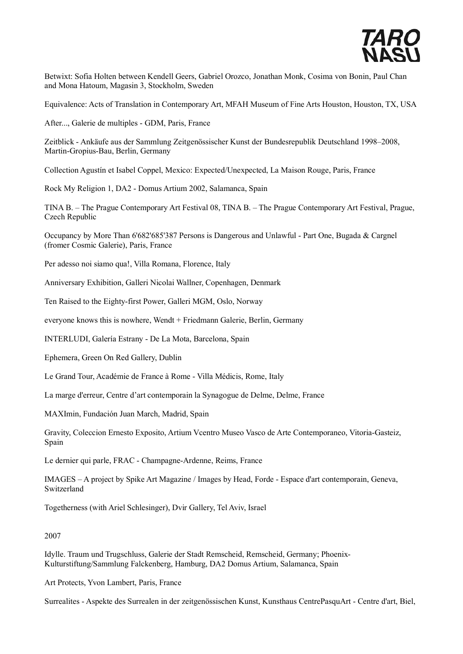

Betwixt: Sofia Holten between Kendell Geers, Gabriel Orozco, Jonathan Monk, Cosima von Bonin, Paul Chan and Mona Hatoum, Magasin 3, Stockholm, Sweden

Equivalence: Acts of Translation in Contemporary Art, MFAH Museum of Fine Arts Houston, Houston, TX, USA

After..., Galerie de multiples - GDM, Paris, France

Zeitblick - Ankäufe aus der Sammlung Zeitgenössischer Kunst der Bundesrepublik Deutschland 1998–2008, Martin-Gropius-Bau, Berlin, Germany

Collection Agustín et Isabel Coppel, Mexico: Expected/Unexpected, La Maison Rouge, Paris, France

Rock My Religion 1, DA2 - Domus Artium 2002, Salamanca, Spain

TINA B. – The Prague Contemporary Art Festival 08, TINA B. – The Prague Contemporary Art Festival, Prague, Czech Republic

Occupancy by More Than 6'682'685'387 Persons is Dangerous and Unlawful - Part One, Bugada & Cargnel (fromer Cosmic Galerie), Paris, France

Per adesso noi siamo qua!, Villa Romana, Florence, Italy

Anniversary Exhibition, Galleri Nicolai Wallner, Copenhagen, Denmark

Ten Raised to the Eighty-first Power, Galleri MGM, Oslo, Norway

everyone knows this is nowhere, Wendt + Friedmann Galerie, Berlin, Germany

INTERLUDI, Galería Estrany - De La Mota, Barcelona, Spain

Ephemera, Green On Red Gallery, Dublin

Le Grand Tour, Académie de France à Rome - Villa Médicis, Rome, Italy

La marge d'erreur, Centre d'art contemporain la Synagogue de Delme, Delme, France

MAXImin, Fundación Juan March, Madrid, Spain

Gravity, Coleccion Ernesto Exposito, Artium Vcentro Museo Vasco de Arte Contemporaneo, Vitoria-Gasteiz, Spain

Le dernier qui parle, FRAC - Champagne-Ardenne, Reims, France

IMAGES – A project by Spike Art Magazine / Images by Head, Forde - Espace d'art contemporain, Geneva, Switzerland

Togetherness (with Ariel Schlesinger), Dvir Gallery, Tel Aviv, Israel

## 2007

Idylle. Traum und Trugschluss, Galerie der Stadt Remscheid, Remscheid, Germany; Phoenix-Kulturstiftung/Sammlung Falckenberg, Hamburg, DA2 Domus Artium, Salamanca, Spain

Art Protects, Yvon Lambert, Paris, France

Surrealites - Aspekte des Surrealen in der zeitgenössischen Kunst, Kunsthaus CentrePasquArt - Centre d'art, Biel,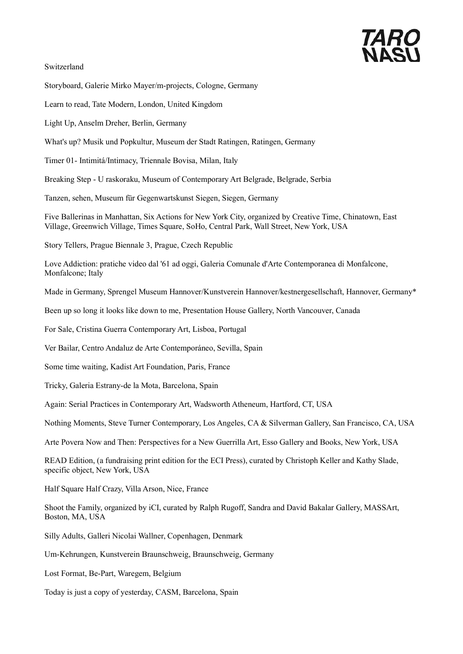# *TARO*<br>NASI

Switzerland

Storyboard, Galerie Mirko Mayer/m-projects, Cologne, Germany

Learn to read, Tate Modern, London, United Kingdom

Light Up, Anselm Dreher, Berlin, Germany

What's up? Musik und Popkultur, Museum der Stadt Ratingen, Ratingen, Germany

Timer 01- Intimitá/Intimacy, Triennale Bovisa, Milan, Italy

Breaking Step - U raskoraku, Museum of Contemporary Art Belgrade, Belgrade, Serbia

Tanzen, sehen, Museum für Gegenwartskunst Siegen, Siegen, Germany

Five Ballerinas in Manhattan, Six Actions for New York City, organized by Creative Time, Chinatown, East Village, Greenwich Village, Times Square, SoHo, Central Park, Wall Street, New York, USA

Story Tellers, Prague Biennale 3, Prague, Czech Republic

Love Addiction: pratiche video dal '61 ad oggi, Galeria Comunale d'Arte Contemporanea di Monfalcone, Monfalcone; Italy

Made in Germany, Sprengel Museum Hannover/Kunstverein Hannover/kestnergesellschaft, Hannover, Germany\*

Been up so long it looks like down to me, Presentation House Gallery, North Vancouver, Canada

For Sale, Cristina Guerra Contemporary Art, Lisboa, Portugal

Ver Bailar, Centro Andaluz de Arte Contemporáneo, Sevilla, Spain

Some time waiting, Kadist Art Foundation, Paris, France

Tricky, Galeria Estrany-de la Mota, Barcelona, Spain

Again: Serial Practices in Contemporary Art, Wadsworth Atheneum, Hartford, CT, USA

Nothing Moments, Steve Turner Contemporary, Los Angeles, CA & Silverman Gallery, San Francisco, CA, USA

Arte Povera Now and Then: Perspectives for a New Guerrilla Art, Esso Gallery and Books, New York, USA

READ Edition, (a fundraising print edition for the ECI Press), curated by Christoph Keller and Kathy Slade, specific object, New York, USA

Half Square Half Crazy, Villa Arson, Nice, France

Shoot the Family, organized by iCI, curated by Ralph Rugoff, Sandra and David Bakalar Gallery, MASSArt, Boston, MA, USA

Silly Adults, Galleri Nicolai Wallner, Copenhagen, Denmark

Um-Kehrungen, Kunstverein Braunschweig, Braunschweig, Germany

Lost Format, Be-Part, Waregem, Belgium

Today is just a copy of yesterday, CASM, Barcelona, Spain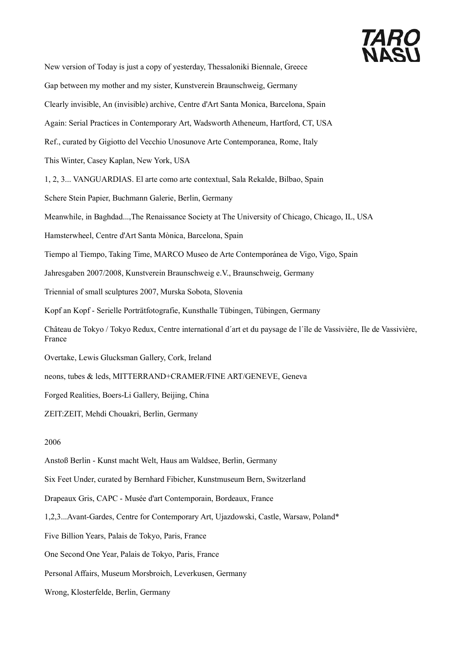

New version of Today is just a copy of yesterday, Thessaloniki Biennale, Greece Gap between my mother and my sister, Kunstverein Braunschweig, Germany Clearly invisible, An (invisible) archive, Centre d'Art Santa Monica, Barcelona, Spain Again: Serial Practices in Contemporary Art, Wadsworth Atheneum, Hartford, CT, USA Ref., curated by Gigiotto del Vecchio Unosunove Arte Contemporanea, Rome, Italy This Winter, Casey Kaplan, New York, USA 1, 2, 3... VANGUARDIAS. El arte como arte contextual, Sala Rekalde, Bilbao, Spain Schere Stein Papier, Buchmann Galerie, Berlin, Germany Meanwhile, in Baghdad...,The Renaissance Society at The University of Chicago, Chicago, IL, USA Hamsterwheel, Centre d'Art Santa Mònica, Barcelona, Spain Tiempo al Tiempo, Taking Time, MARCO Museo de Arte Contemporánea de Vigo, Vigo, Spain Jahresgaben 2007/2008, Kunstverein Braunschweig e.V., Braunschweig, Germany Triennial of small sculptures 2007, Murska Sobota, Slovenia Kopf an Kopf - Serielle Porträtfotografie, Kunsthalle Tübingen, Tübingen, Germany Château de Tokyo / Tokyo Redux, Centre international d´art et du paysage de l´île de Vassivière, Ile de Vassivière, France Overtake, Lewis Glucksman Gallery, Cork, Ireland neons, tubes & leds, MITTERRAND+CRAMER/FINE ART/GENEVE, Geneva Forged Realities, Boers-Li Gallery, Beijing, China ZEIT:ZEIT, Mehdi Chouakri, Berlin, Germany 2006 Anstoß Berlin - Kunst macht Welt, Haus am Waldsee, Berlin, Germany

Six Feet Under, curated by Bernhard Fibicher, Kunstmuseum Bern, Switzerland

Drapeaux Gris, CAPC - Musée d'art Contemporain, Bordeaux, France

1,2,3...Avant-Gardes, Centre for Contemporary Art, Ujazdowski, Castle, Warsaw, Poland\*

Five Billion Years, Palais de Tokyo, Paris, France

One Second One Year, Palais de Tokyo, Paris, France

Personal Affairs, Museum Morsbroich, Leverkusen, Germany

Wrong, Klosterfelde, Berlin, Germany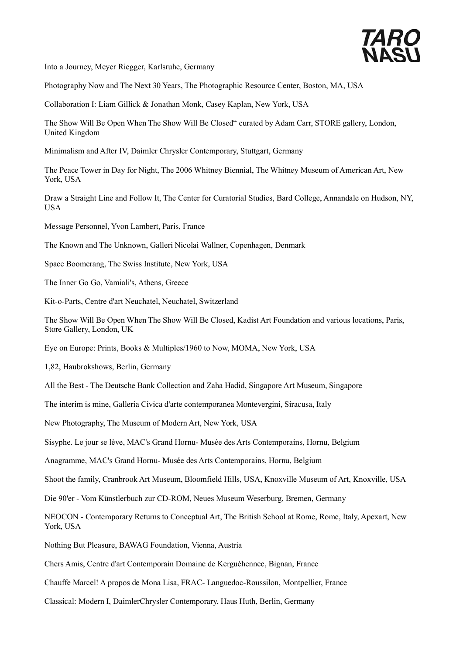

Into a Journey, Meyer Riegger, Karlsruhe, Germany

Photography Now and The Next 30 Years, The Photographic Resource Center, Boston, MA, USA

Collaboration I: Liam Gillick & Jonathan Monk, Casey Kaplan, New York, USA

The Show Will Be Open When The Show Will Be Closed" curated by Adam Carr, STORE gallery, London, United Kingdom

Minimalism and After IV, Daimler Chrysler Contemporary, Stuttgart, Germany

The Peace Tower in Day for Night, The 2006 Whitney Biennial, The Whitney Museum of American Art, New York, USA

Draw a Straight Line and Follow It, The Center for Curatorial Studies, Bard College, Annandale on Hudson, NY, USA

Message Personnel, Yvon Lambert, Paris, France

The Known and The Unknown, Galleri Nicolai Wallner, Copenhagen, Denmark

Space Boomerang, The Swiss Institute, New York, USA

The Inner Go Go, Vamiali's, Athens, Greece

Kit-o-Parts, Centre d'art Neuchatel, Neuchatel, Switzerland

The Show Will Be Open When The Show Will Be Closed, Kadist Art Foundation and various locations, Paris, Store Gallery, London, UK

Eye on Europe: Prints, Books & Multiples/1960 to Now, MOMA, New York, USA

1,82, Haubrokshows, Berlin, Germany

All the Best - The Deutsche Bank Collection and Zaha Hadid, Singapore Art Museum, Singapore

The interim is mine, Galleria Civica d'arte contemporanea Montevergini, Siracusa, Italy

New Photography, The Museum of Modern Art, New York, USA

Sisyphe. Le jour se lève, MAC's Grand Hornu- Musée des Arts Contemporains, Hornu, Belgium

Anagramme, MAC's Grand Hornu- Musée des Arts Contemporains, Hornu, Belgium

Shoot the family, Cranbrook Art Museum, Bloomfield Hills, USA, Knoxville Museum of Art, Knoxville, USA

Die 90'er - Vom Künstlerbuch zur CD-ROM, Neues Museum Weserburg, Bremen, Germany

NEOCON - Contemporary Returns to Conceptual Art, The British School at Rome, Rome, Italy, Apexart, New York, USA

Nothing But Pleasure, BAWAG Foundation, Vienna, Austria

Chers Amis, Centre d'art Contemporain Domaine de Kerguéhennec, Bignan, France

Chauffe Marcel! A propos de Mona Lisa, FRAC- Languedoc-Roussilon, Montpellier, France

Classical: Modern I, DaimlerChrysler Contemporary, Haus Huth, Berlin, Germany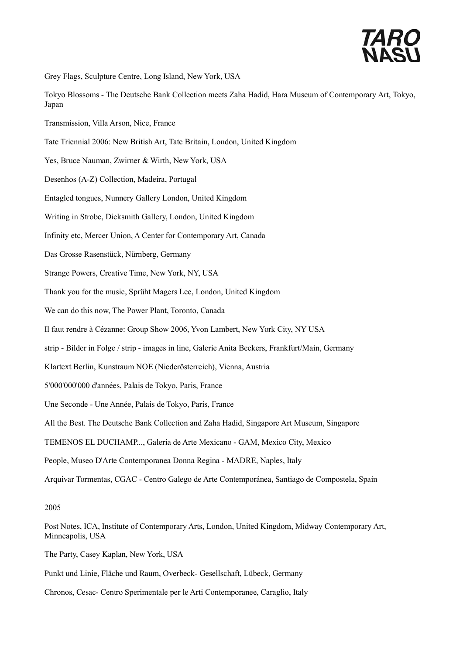

Grey Flags, Sculpture Centre, Long Island, New York, USA

- Tokyo Blossoms The Deutsche Bank Collection meets Zaha Hadid, Hara Museum of Contemporary Art, Tokyo, Japan
- Transmission, Villa Arson, Nice, France
- Tate Triennial 2006: New British Art, Tate Britain, London, United Kingdom
- Yes, Bruce Nauman, Zwirner & Wirth, New York, USA
- Desenhos (A-Z) Collection, Madeira, Portugal
- Entagled tongues, Nunnery Gallery London, United Kingdom
- Writing in Strobe, Dicksmith Gallery, London, United Kingdom
- Infinity etc, Mercer Union, A Center for Contemporary Art, Canada
- Das Grosse Rasenstück, Nürnberg, Germany
- Strange Powers, Creative Time, New York, NY, USA
- Thank you for the music, Sprüht Magers Lee, London, United Kingdom
- We can do this now, The Power Plant, Toronto, Canada
- Il faut rendre à Cézanne: Group Show 2006, Yvon Lambert, New York City, NY USA
- strip Bilder in Folge / strip images in line, Galerie Anita Beckers, Frankfurt/Main, Germany
- Klartext Berlin, Kunstraum NOE (Niederösterreich), Vienna, Austria
- 5'000'000'000 d'années, Palais de Tokyo, Paris, France
- Une Seconde Une Année, Palais de Tokyo, Paris, France
- All the Best. The Deutsche Bank Collection and Zaha Hadid, Singapore Art Museum, Singapore
- TEMENOS EL DUCHAMP..., Galería de Arte Mexicano GAM, Mexico City, Mexico
- People, Museo D'Arte Contemporanea Donna Regina MADRE, Naples, Italy
- Arquivar Tormentas, CGAC Centro Galego de Arte Contemporánea, Santiago de Compostela, Spain

#### 2005

- Post Notes, ICA, Institute of Contemporary Arts, London, United Kingdom, Midway Contemporary Art, Minneapolis, USA
- The Party, Casey Kaplan, New York, USA
- Punkt und Linie, Fläche und Raum, Overbeck- Gesellschaft, Lübeck, Germany
- Chronos, Cesac- Centro Sperimentale per le Arti Contemporanee, Caraglio, Italy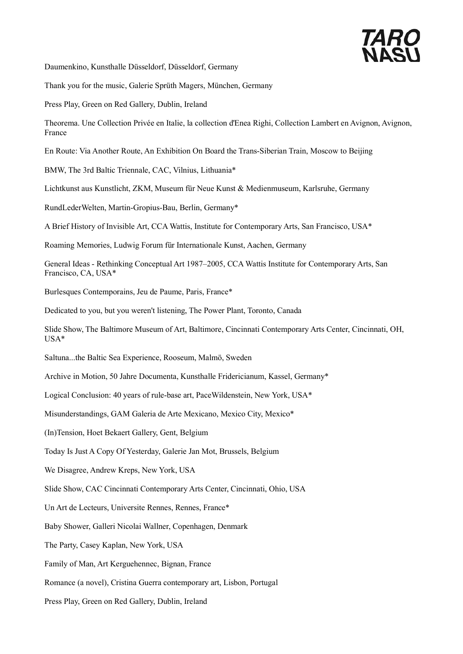

Daumenkino, Kunsthalle Düsseldorf, Düsseldorf, Germany

Thank you for the music, Galerie Sprüth Magers, München, Germany

Press Play, Green on Red Gallery, Dublin, Ireland

Theorema. Une Collection Privée en Italie, la collection d'Enea Righi, Collection Lambert en Avignon, Avignon, France

En Route: Via Another Route, An Exhibition On Board the Trans-Siberian Train, Moscow to Beijing

BMW, The 3rd Baltic Triennale, CAC, Vilnius, Lithuania\*

Lichtkunst aus Kunstlicht, ZKM, Museum für Neue Kunst & Medienmuseum, Karlsruhe, Germany

RundLederWelten, Martin-Gropius-Bau, Berlin, Germany\*

A Brief History of Invisible Art, CCA Wattis, Institute for Contemporary Arts, San Francisco, USA\*

Roaming Memories, Ludwig Forum für Internationale Kunst, Aachen, Germany

General Ideas - Rethinking Conceptual Art 1987–2005, CCA Wattis Institute for Contemporary Arts, San Francisco, CA, USA\*

Burlesques Contemporains, Jeu de Paume, Paris, France\*

Dedicated to you, but you weren't listening, The Power Plant, Toronto, Canada

Slide Show, The Baltimore Museum of Art, Baltimore, Cincinnati Contemporary Arts Center, Cincinnati, OH, USA\*

Saltuna...the Baltic Sea Experience, Rooseum, Malmö, Sweden

Archive in Motion, 50 Jahre Documenta, Kunsthalle Fridericianum, Kassel, Germany\*

Logical Conclusion: 40 years of rule-base art, PaceWildenstein, New York, USA\*

Misunderstandings, GAM Galeria de Arte Mexicano, Mexico City, Mexico\*

(In)Tension, Hoet Bekaert Gallery, Gent, Belgium

Today Is Just A Copy Of Yesterday, Galerie Jan Mot, Brussels, Belgium

We Disagree, Andrew Kreps, New York, USA

Slide Show, CAC Cincinnati Contemporary Arts Center, Cincinnati, Ohio, USA

Un Art de Lecteurs, Universite Rennes, Rennes, France\*

Baby Shower, Galleri Nicolai Wallner, Copenhagen, Denmark

The Party, Casey Kaplan, New York, USA

Family of Man, Art Kerguehennec, Bignan, France

Romance (a novel), Cristina Guerra contemporary art, Lisbon, Portugal

Press Play, Green on Red Gallery, Dublin, Ireland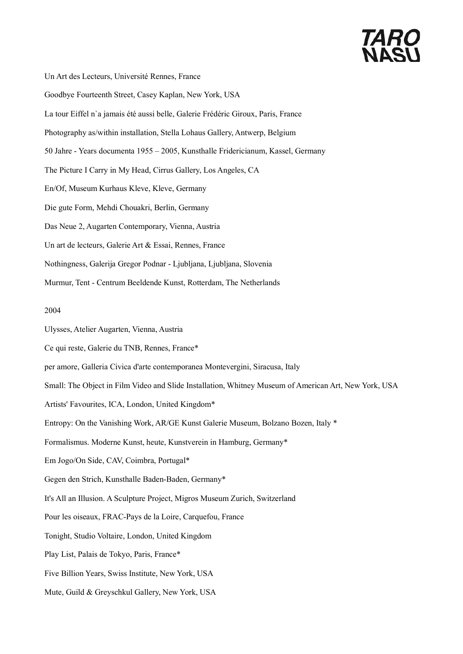# **TARO**<br>NASI

- Un Art des Lecteurs, Université Rennes, France
- Goodbye Fourteenth Street, Casey Kaplan, New York, USA
- La tour Eiffel n`a jamais été aussi belle, Galerie Frédéric Giroux, Paris, France
- Photography as/within installation, Stella Lohaus Gallery, Antwerp, Belgium
- 50 Jahre Years documenta 1955 2005, Kunsthalle Fridericianum, Kassel, Germany
- The Picture I Carry in My Head, Cirrus Gallery, Los Angeles, CA
- En/Of, Museum Kurhaus Kleve, Kleve, Germany
- Die gute Form, Mehdi Chouakri, Berlin, Germany
- Das Neue 2, Augarten Contemporary, Vienna, Austria
- Un art de lecteurs, Galerie Art & Essai, Rennes, France
- Nothingness, Galerija Gregor Podnar Ljubljana, Ljubljana, Slovenia
- Murmur, Tent Centrum Beeldende Kunst, Rotterdam, The Netherlands

### 2004

- Ulysses, Atelier Augarten, Vienna, Austria
- Ce qui reste, Galerie du TNB, Rennes, France\*
- per amore, Galleria Civica d'arte contemporanea Montevergini, Siracusa, Italy
- Small: The Object in Film Video and Slide Installation, Whitney Museum of American Art, New York, USA
- Artists' Favourites, ICA, London, United Kingdom\*
- Entropy: On the Vanishing Work, AR/GE Kunst Galerie Museum, Bolzano Bozen, Italy \*
- Formalismus. Moderne Kunst, heute, Kunstverein in Hamburg, Germany\*
- Em Jogo/On Side, CAV, Coimbra, Portugal\*
- Gegen den Strich, Kunsthalle Baden-Baden, Germany\*
- It's All an Illusion. A Sculpture Project, Migros Museum Zurich, Switzerland
- Pour les oiseaux, FRAC-Pays de la Loire, Carquefou, France
- Tonight, Studio Voltaire, London, United Kingdom
- Play List, Palais de Tokyo, Paris, France\*
- Five Billion Years, Swiss Institute, New York, USA
- Mute, Guild & Greyschkul Gallery, New York, USA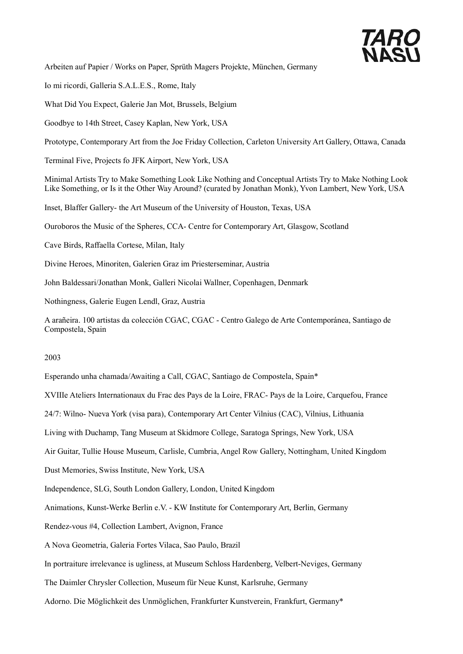

Arbeiten auf Papier / Works on Paper, Sprüth Magers Projekte, München, Germany

Io mi ricordi, Galleria S.A.L.E.S., Rome, Italy

What Did You Expect, Galerie Jan Mot, Brussels, Belgium

Goodbye to 14th Street, Casey Kaplan, New York, USA

Prototype, Contemporary Art from the Joe Friday Collection, Carleton University Art Gallery, Ottawa, Canada

Terminal Five, Projects fo JFK Airport, New York, USA

Minimal Artists Try to Make Something Look Like Nothing and Conceptual Artists Try to Make Nothing Look Like Something, or Is it the Other Way Around? (curated by Jonathan Monk), Yvon Lambert, New York, USA

Inset, Blaffer Gallery- the Art Museum of the University of Houston, Texas, USA

Ouroboros the Music of the Spheres, CCA- Centre for Contemporary Art, Glasgow, Scotland

Cave Birds, Raffaella Cortese, Milan, Italy

Divine Heroes, Minoriten, Galerien Graz im Priesterseminar, Austria

John Baldessari/Jonathan Monk, Galleri Nicolai Wallner, Copenhagen, Denmark

Nothingness, Galerie Eugen Lendl, Graz, Austria

A arañeira. 100 artistas da colección CGAC, CGAC - Centro Galego de Arte Contemporánea, Santiago de Compostela, Spain

#### 2003

Esperando unha chamada/Awaiting a Call, CGAC, Santiago de Compostela, Spain\*

XVIIIe Ateliers Internationaux du Frac des Pays de la Loire, FRAC- Pays de la Loire, Carquefou, France

24/7: Wilno- Nueva York (visa para), Contemporary Art Center Vilnius (CAC), Vilnius, Lithuania

Living with Duchamp, Tang Museum at Skidmore College, Saratoga Springs, New York, USA

Air Guitar, Tullie House Museum, Carlisle, Cumbria, Angel Row Gallery, Nottingham, United Kingdom

Dust Memories, Swiss Institute, New York, USA

Independence, SLG, South London Gallery, London, United Kingdom

Animations, Kunst-Werke Berlin e.V. - KW Institute for Contemporary Art, Berlin, Germany

Rendez-vous #4, Collection Lambert, Avignon, France

A Nova Geometria, Galeria Fortes Vilaca, Sao Paulo, Brazil

In portraiture irrelevance is ugliness, at Museum Schloss Hardenberg, Velbert-Neviges, Germany

The Daimler Chrysler Collection, Museum für Neue Kunst, Karlsruhe, Germany

Adorno. Die Möglichkeit des Unmöglichen, Frankfurter Kunstverein, Frankfurt, Germany\*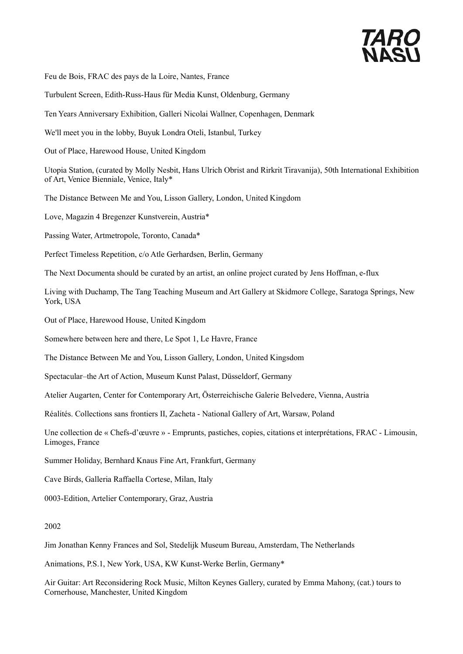

Feu de Bois, FRAC des pays de la Loire, Nantes, France

Turbulent Screen, Edith-Russ-Haus für Media Kunst, Oldenburg, Germany

Ten Years Anniversary Exhibition, Galleri Nicolai Wallner, Copenhagen, Denmark

We'll meet you in the lobby, Buyuk Londra Oteli, Istanbul, Turkey

Out of Place, Harewood House, United Kingdom

Utopia Station, (curated by Molly Nesbit, Hans Ulrich Obrist and Rirkrit Tiravanija), 50th International Exhibition of Art, Venice Bienniale, Venice, Italy\*

The Distance Between Me and You, Lisson Gallery, London, United Kingdom

Love, Magazin 4 Bregenzer Kunstverein, Austria\*

Passing Water, Artmetropole, Toronto, Canada\*

Perfect Timeless Repetition, c/o Atle Gerhardsen, Berlin, Germany

The Next Documenta should be curated by an artist, an online project curated by Jens Hoffman, e-flux

Living with Duchamp, The Tang Teaching Museum and Art Gallery at Skidmore College, Saratoga Springs, New York, USA

Out of Place, Harewood House, United Kingdom

Somewhere between here and there, Le Spot 1, Le Havre, France

The Distance Between Me and You, Lisson Gallery, London, United Kingsdom

Spectacular–the Art of Action, Museum Kunst Palast, Düsseldorf, Germany

Atelier Augarten, Center for Contemporary Art, Österreichische Galerie Belvedere, Vienna, Austria

Réalités. Collections sans frontiers II, Zacheta - National Gallery of Art, Warsaw, Poland

Une collection de « Chefs-d'œuvre » - Emprunts, pastiches, copies, citations et interprétations, FRAC - Limousin, Limoges, France

Summer Holiday, Bernhard Knaus Fine Art, Frankfurt, Germany

Cave Birds, Galleria Raffaella Cortese, Milan, Italy

0003-Edition, Artelier Contemporary, Graz, Austria

### 2002

Jim Jonathan Kenny Frances and Sol, Stedelijk Museum Bureau, Amsterdam, The Netherlands

Animations, P.S.1, New York, USA, KW Kunst-Werke Berlin, Germany\*

Air Guitar: Art Reconsidering Rock Music, Milton Keynes Gallery, curated by Emma Mahony, (cat.) tours to Cornerhouse, Manchester, United Kingdom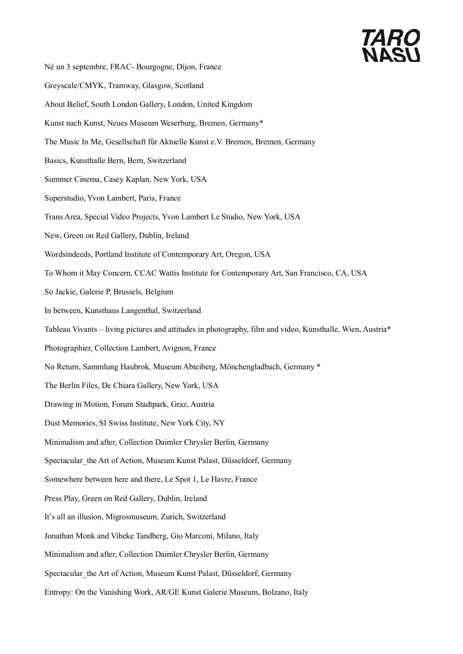# **TARO**<br>NASI

Né un 3 septembre, FRAC- Bourgogne, Dijon, France Greyscale/CMYK, Tramway, Glasgow, Scotland About Belief, South London Gallery, London, United Kingdom Kunst nach Kunst, Neues Museum Weserburg, Bremen, Germany\* The Music In Me, Gesellschaft für Aktuelle Kunst e.V. Bremen, Bremen, Germany Basics, Kunsthalle Bern, Bern, Switzerland Summer Cinema, Casey Kaplan, New York, USA Superstudio, Yvon Lambert, Paris, France Trans Area, Special Video Projects, Yvon Lambert Le Studio, New York, USA New, Green on Red Gallery, Dublin, Ireland Wordsindeeds, Portland Institute of Contemporary Art, Oregon, USA To Whom it May Concern, CCAC Wattis Institute for Contemporary Art, San Francisco, CA, USA So Jackie, Galerie P, Brussels, Belgium In between, Kunsthaus Langenthal, Switzerland Tableau Vivants – living pictures and attitudes in photography, film and video, Kunsthalle, Wien, Austria\* Photographier, Collection Lambert, Avignon, France No Return, Sammlung Haubrok, Museum Abteiberg, Mönchengladbach, Germany \* The Berlin Files, De Chiara Gallery, New York, USA Drawing in Motion, Forum Stadtpark, Graz, Austria Dust Memories, SI Swiss Institute, New York City, NY Minimalism and after, Collection Daimler Chrysler Berlin, Germany Spectacular the Art of Action, Museum Kunst Palast, Düsseldorf, Germany Somewhere between here and there, Le Spot 1, Le Havre, France Press Play, Green on Red Gallery, Dublin, Ireland It's all an illusion, Migrosmuseum, Zurich, Switzerland Jonathan Monk and Vibeke Tandberg, Gio Marconi, Milano, Italy Minimalism and after, Collection Daimler Chrysler Berlin, Germany Spectacular the Art of Action, Museum Kunst Palast, Düsseldorf, Germany Entropy: On the Vanishing Work, AR/GE Kunst Galerie Museum, Bolzano, Italy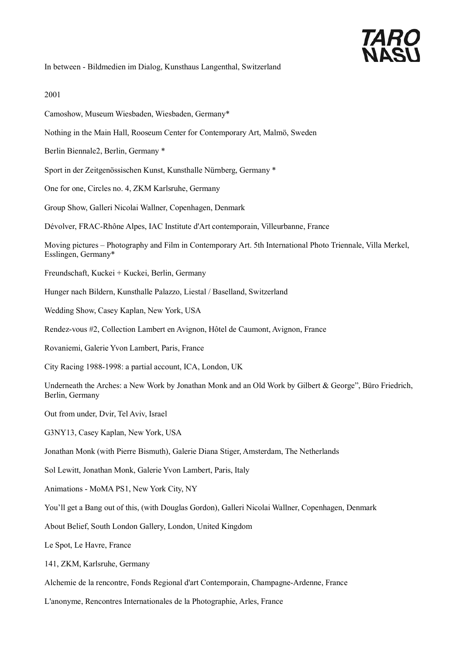

In between - Bildmedien im Dialog, Kunsthaus Langenthal, Switzerland

#### 2001

- Camoshow, Museum Wiesbaden, Wiesbaden, Germany\*
- Nothing in the Main Hall, Rooseum Center for Contemporary Art, Malmö, Sweden
- Berlin Biennale2, Berlin, Germany \*
- Sport in der Zeitgenössischen Kunst, Kunsthalle Nürnberg, Germany \*
- One for one, Circles no. 4, ZKM Karlsruhe, Germany
- Group Show, Galleri Nicolai Wallner, Copenhagen, Denmark
- Dévolver, FRAC-Rhône Alpes, IAC Institute d'Art contemporain, Villeurbanne, France

Moving pictures – Photography and Film in Contemporary Art. 5th International Photo Triennale, Villa Merkel, Esslingen, Germany\*

- Freundschaft, Kuckei + Kuckei, Berlin, Germany
- Hunger nach Bildern, Kunsthalle Palazzo, Liestal / Baselland, Switzerland
- Wedding Show, Casey Kaplan, New York, USA
- Rendez-vous #2, Collection Lambert en Avignon, Hôtel de Caumont, Avignon, France
- Rovaniemi, Galerie Yvon Lambert, Paris, France
- City Racing 1988-1998: a partial account, ICA, London, UK
- Underneath the Arches: a New Work by Jonathan Monk and an Old Work by Gilbert & George", Büro Friedrich, Berlin, Germany
- Out from under, Dvir, Tel Aviv, Israel
- G3NY13, Casey Kaplan, New York, USA
- Jonathan Monk (with Pierre Bismuth), Galerie Diana Stiger, Amsterdam, The Netherlands
- Sol Lewitt, Jonathan Monk, Galerie Yvon Lambert, Paris, Italy
- Animations MoMA PS1, New York City, NY
- You'll get a Bang out of this, (with Douglas Gordon), Galleri Nicolai Wallner, Copenhagen, Denmark
- About Belief, South London Gallery, London, United Kingdom
- Le Spot, Le Havre, France
- 141, ZKM, Karlsruhe, Germany
- Alchemie de la rencontre, Fonds Regional d'art Contemporain, Champagne-Ardenne, France
- L'anonyme, Rencontres Internationales de la Photographie, Arles, France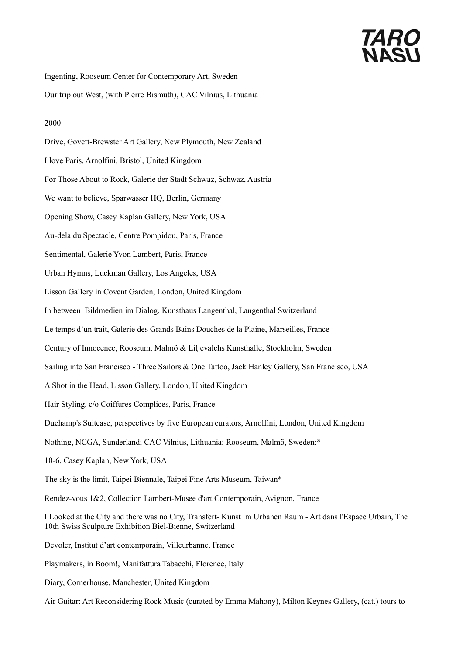# *TARO*<br>NASI

Ingenting, Rooseum Center for Contemporary Art, Sweden

Our trip out West, (with Pierre Bismuth), CAC Vilnius, Lithuania

## 2000

Drive, Govett-Brewster Art Gallery, New Plymouth, New Zealand I love Paris, Arnolfini, Bristol, United Kingdom For Those About to Rock, Galerie der Stadt Schwaz, Schwaz, Austria We want to believe, Sparwasser HQ, Berlin, Germany Opening Show, Casey Kaplan Gallery, New York, USA Au-dela du Spectacle, Centre Pompidou, Paris, France Sentimental, Galerie Yvon Lambert, Paris, France Urban Hymns, Luckman Gallery, Los Angeles, USA Lisson Gallery in Covent Garden, London, United Kingdom In between–Bildmedien im Dialog, Kunsthaus Langenthal, Langenthal Switzerland Le temps d'un trait, Galerie des Grands Bains Douches de la Plaine, Marseilles, France Century of Innocence, Rooseum, Malmö & Liljevalchs Kunsthalle, Stockholm, Sweden Sailing into San Francisco - Three Sailors & One Tattoo, Jack Hanley Gallery, San Francisco, USA A Shot in the Head, Lisson Gallery, London, United Kingdom Hair Styling, c/o Coiffures Complices, Paris, France Duchamp's Suitcase, perspectives by five European curators, Arnolfini, London, United Kingdom Nothing, NCGA, Sunderland; CAC Vilnius, Lithuania; Rooseum, Malmö, Sweden;\* 10-6, Casey Kaplan, New York, USA The sky is the limit, Taipei Biennale, Taipei Fine Arts Museum, Taiwan\* Rendez-vous 1&2, Collection Lambert-Musee d'art Contemporain, Avignon, France I Looked at the City and there was no City, Transfert- Kunst im Urbanen Raum - Art dans l'Espace Urbain, The 10th Swiss Sculpture Exhibition Biel-Bienne, Switzerland Devoler, Institut d'art contemporain, Villeurbanne, France Playmakers, in Boom!, Manifattura Tabacchi, Florence, Italy Diary, Cornerhouse, Manchester, United Kingdom Air Guitar: Art Reconsidering Rock Music (curated by Emma Mahony), Milton Keynes Gallery, (cat.) tours to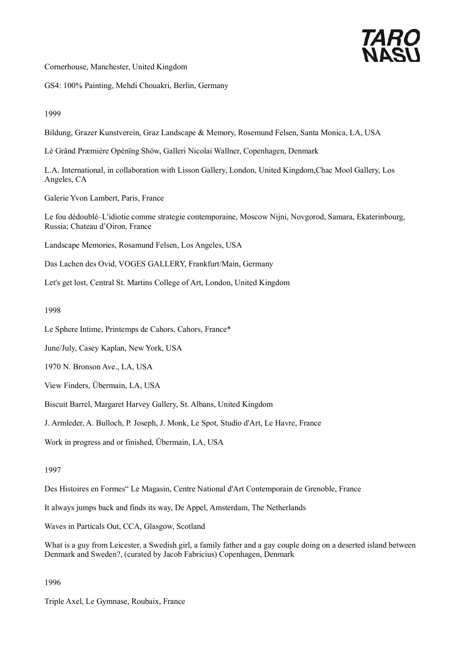

Cornerhouse, Manchester, United Kingdom

GS4: 100% Painting, Mehdi Chouakri, Berlin, Germany

1999

Bildung, Grazer Kunstverein, Graz Landscape & Memory, Rosemund Felsen, Santa Monica, LA, USA

Lè Grând Præmière Opénïng Shöw, Galleri Nicolai Wallner, Copenhagen, Denmark

L.A. International, in collaboration with Lisson Gallery, London, United Kingdom,Chac Mool Gallery, Los Angeles, CA

Galerie Yvon Lambert, Paris, France

Le fou dédoublé–L'idiotie comme strategie contemporaine, Moscow Nijni, Novgorod, Samara, Ekaterinbourg, Russia; Chateau d'Oiron, France

Landscape Memories, Rosamund Felsen, Los Angeles, USA

Das Lachen des Ovid, VOGES GALLERY, Frankfurt/Main, Germany

Let's get lost, Central St. Martins College of Art, London, United Kingdom

1998

Le Sphere Intime, Printemps de Cahors, Cahors, France\*

June/July, Casey Kaplan, New York, USA

1970 N. Bronson Ave., LA, USA

View Finders, Übermain, LA, USA

Biscuit Barrel, Margaret Harvey Gallery, St. Albans, United Kingdom

J. Armleder, A. Bulloch, P. Joseph, J. Monk, Le Spot, Studio d'Art, Le Havre, France

Work in progress and or finished, Übermain, LA, USA

#### 1997

Des Histoires en Formes" Le Magasin, Centre National d'Art Contemporain de Grenoble, France

It always jumps back and finds its way, De Appel, Amsterdam, The Netherlands

Waves in Particals Out, CCA, Glasgow, Scotland

What is a guy from Leicester, a Swedish girl, a family father and a gay couple doing on a deserted island between Denmark and Sweden?, (curated by Jacob Fabricius) Copenhagen, Denmark

1996

Triple Axel, Le Gymnase, Roubaix, France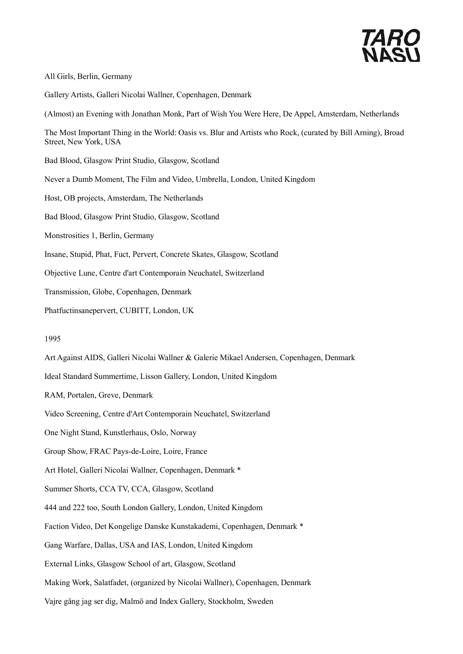

#### All Girls, Berlin, Germany

Gallery Artists, Galleri Nicolai Wallner, Copenhagen, Denmark

(Almost) an Evening with Jonathan Monk, Part of Wish You Were Here, De Appel, Amsterdam, Netherlands

The Most Important Thing in the World: Oasis vs. Blur and Artists who Rock, (curated by Bill Arning), Broad Street, New York, USA

Bad Blood, Glasgow Print Studio, Glasgow, Scotland

Never a Dumb Moment, The Film and Video, Umbrella, London, United Kingdom

Host, OB projects, Amsterdam, The Netherlands

Bad Blood, Glasgow Print Studio, Glasgow, Scotland

Monstrosities 1, Berlin, Germany

Insane, Stupid, Phat, Fuct, Pervert, Concrete Skates, Glasgow, Scotland

Objective Lune, Centre d'art Contemporain Neuchatel, Switzerland

Transmission, Globe, Copenhagen, Denmark

Phatfuctinsanepervert, CUBITT, London, UK

#### 1995

Art Against AIDS, Galleri Nicolai Wallner & Galerie Mikael Andersen, Copenhagen, Denmark

Ideal Standard Summertime, Lisson Gallery, London, United Kingdom

RAM, Portalen, Greve, Denmark

Video Screening, Centre d'Art Contemporain Neuchatel, Switzerland

One Night Stand, Kunstlerhaus, Oslo, Norway

Group Show, FRAC Pays-de-Loire, Loire, France

Art Hotel, Galleri Nicolai Wallner, Copenhagen, Denmark \*

Summer Shorts, CCA TV, CCA, Glasgow, Scotland

444 and 222 too, South London Gallery, London, United Kingdom

Faction Video, Det Kongelige Danske Kunstakademi, Copenhagen, Denmark \*

Gang Warfare, Dallas, USA and IAS, London, United Kingdom

External Links, Glasgow School of art, Glasgow, Scotland

Making Work, Salatfadet, (organized by Nicolai Wallner), Copenhagen, Denmark

Vajre gång jag ser dig, Malmö and Index Gallery, Stockholm, Sweden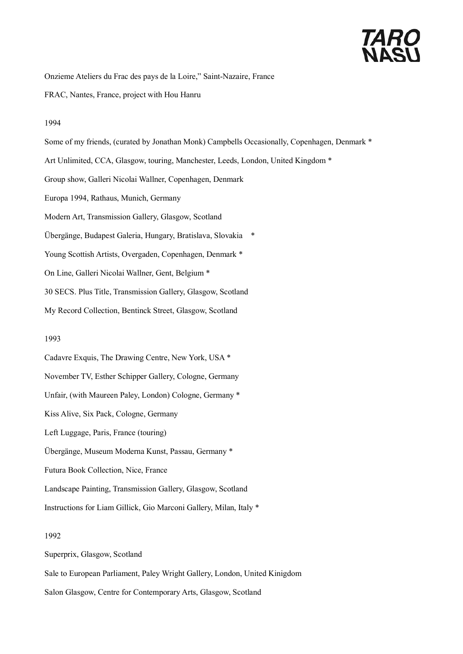# *TARO*<br>NASI

Onzieme Ateliers du Frac des pays de la Loire," Saint-Nazaire, France

FRAC, Nantes, France, project with Hou Hanru

#### 1994

Some of my friends, (curated by Jonathan Monk) Campbells Occasionally, Copenhagen, Denmark \* Art Unlimited, CCA, Glasgow, touring, Manchester, Leeds, London, United Kingdom \* Group show, Galleri Nicolai Wallner, Copenhagen, Denmark Europa 1994, Rathaus, Munich, Germany Modern Art, Transmission Gallery, Glasgow, Scotland Übergänge, Budapest Galeria, Hungary, Bratislava, Slovakia \* Young Scottish Artists, Overgaden, Copenhagen, Denmark \* On Line, Galleri Nicolai Wallner, Gent, Belgium \* 30 SECS. Plus Title, Transmission Gallery, Glasgow, Scotland My Record Collection, Bentinck Street, Glasgow, Scotland

### 1993

Cadavre Exquis, The Drawing Centre, New York, USA \* November TV, Esther Schipper Gallery, Cologne, Germany Unfair, (with Maureen Paley, London) Cologne, Germany \* Kiss Alive, Six Pack, Cologne, Germany Left Luggage, Paris, France (touring) Übergänge, Museum Moderna Kunst, Passau, Germany \* Futura Book Collection, Nice, France Landscape Painting, Transmission Gallery, Glasgow, Scotland

Instructions for Liam Gillick, Gio Marconi Gallery, Milan, Italy \*

## 1992

Superprix, Glasgow, Scotland Sale to European Parliament, Paley Wright Gallery, London, United Kinigdom Salon Glasgow, Centre for Contemporary Arts, Glasgow, Scotland